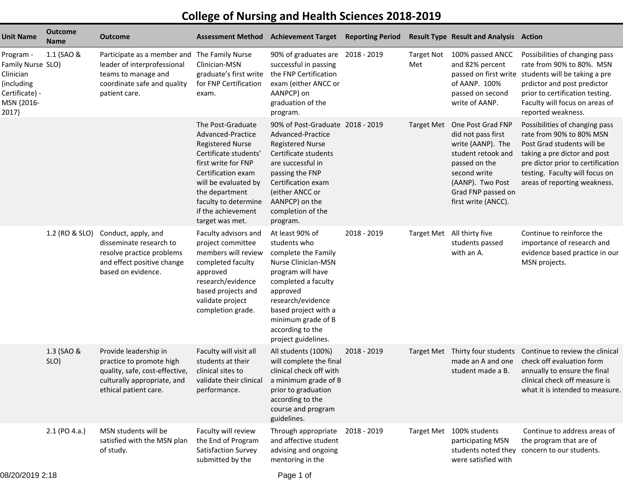## **College of Nursing and Health Sciences 2018-2019**

| <b>Unit Name</b>                                                                                   | <b>Outcome</b><br>Name | <b>Outcome</b>                                                                                                                                     |                                                                                                                                                                                                                                                    | <b>Assessment Method Achievement Target</b>                                                                                                                                                                                                         | <b>Reporting Period</b> |                          | <b>Result Type Result and Analysis Action</b>                                                                                                                                        |                                                                                                                                                                                                                                              |
|----------------------------------------------------------------------------------------------------|------------------------|----------------------------------------------------------------------------------------------------------------------------------------------------|----------------------------------------------------------------------------------------------------------------------------------------------------------------------------------------------------------------------------------------------------|-----------------------------------------------------------------------------------------------------------------------------------------------------------------------------------------------------------------------------------------------------|-------------------------|--------------------------|--------------------------------------------------------------------------------------------------------------------------------------------------------------------------------------|----------------------------------------------------------------------------------------------------------------------------------------------------------------------------------------------------------------------------------------------|
| Program -<br>Family Nurse SLO)<br>Clinician<br>(including<br>Certificate) -<br>MSN {2016-<br>2017} | 1.1 (SAO &             | Participate as a member and The Family Nurse<br>leader of interprofessional<br>teams to manage and<br>coordinate safe and quality<br>patient care. | Clinician-MSN<br>graduate's first write<br>for FNP Certification<br>exam.                                                                                                                                                                          | 90% of graduates are 2018 - 2019<br>successful in passing<br>the FNP Certification<br>exam (either ANCC or<br>AANPCP) on<br>graduation of the<br>program.                                                                                           |                         | <b>Target Not</b><br>Met | 100% passed ANCC<br>and 82% percent<br>of AANP. 100%<br>passed on second<br>write of AANP.                                                                                           | Possibilities of changing pass<br>rate from 90% to 80%. MSN<br>passed on first write students will be taking a pre<br>prdictor and post predictor<br>prior to certification testing.<br>Faculty will focus on areas of<br>reported weakness. |
|                                                                                                    |                        |                                                                                                                                                    | The Post-Graduate<br>Advanced-Practice<br><b>Registered Nurse</b><br>Certificate students'<br>first write for FNP<br>Certification exam<br>will be evaluated by<br>the department<br>faculty to determine<br>if the achievement<br>target was met. | 90% of Post-Graduate 2018 - 2019<br>Advanced-Practice<br><b>Registered Nurse</b><br>Certificate students<br>are successful in<br>passing the FNP<br>Certification exam<br>(either ANCC or<br>AANPCP) on the<br>completion of the<br>program.        |                         | <b>Target Met</b>        | One Post Grad FNP<br>did not pass first<br>write (AANP). The<br>student retook and<br>passed on the<br>second write<br>(AANP). Two Post<br>Grad FNP passed on<br>first write (ANCC). | Possibilities of changing pass<br>rate from 90% to 80% MSN<br>Post Grad students will be<br>taking a pre dictor and post<br>pre dictor prior to certification<br>testing. Faculty will focus on<br>areas of reporting weakness.              |
|                                                                                                    | 1.2 (RO & SLO)         | Conduct, apply, and<br>disseminate research to<br>resolve practice problems<br>and effect positive change<br>based on evidence.                    | Faculty advisors and<br>project committee<br>members will review<br>completed faculty<br>approved<br>research/evidence<br>based projects and<br>validate project<br>completion grade.                                                              | At least 90% of<br>students who<br>complete the Family<br>Nurse Clinician-MSN<br>program will have<br>completed a faculty<br>approved<br>research/evidence<br>based project with a<br>minimum grade of B<br>according to the<br>project guidelines. | 2018 - 2019             |                          | Target Met All thirty five<br>students passed<br>with an A.                                                                                                                          | Continue to reinforce the<br>importance of research and<br>evidence based practice in our<br>MSN projects.                                                                                                                                   |
|                                                                                                    | 1.3 (SAO &<br>SLO)     | Provide leadership in<br>practice to promote high<br>quality, safe, cost-effective,<br>culturally appropriate, and<br>ethical patient care.        | Faculty will visit all<br>students at their<br>clinical sites to<br>performance.                                                                                                                                                                   | All students (100%)<br>will complete the final<br>clinical check off with<br>validate their clinical a minimum grade of B<br>prior to graduation<br>according to the<br>course and program<br>guidelines.                                           | 2018 - 2019             |                          | Target Met Thirty four students<br>made an A and one<br>student made a B.                                                                                                            | Continue to review the clinical<br>check off evaluation form<br>annually to ensure the final<br>clinical check off measure is<br>what it is intended to measure.                                                                             |
|                                                                                                    | 2.1 (PO 4.a.)          | MSN students will be<br>satisfied with the MSN plan<br>of study.                                                                                   | Faculty will review<br>the End of Program<br>Satisfaction Survey<br>submitted by the                                                                                                                                                               | Through appropriate<br>and affective student<br>advising and ongoing<br>mentoring in the                                                                                                                                                            | 2018 - 2019             |                          | Target Met 100% students<br>participating MSN<br>students noted they<br>were satisfied with                                                                                          | Continue to address areas of<br>the program that are of<br>concern to our students.                                                                                                                                                          |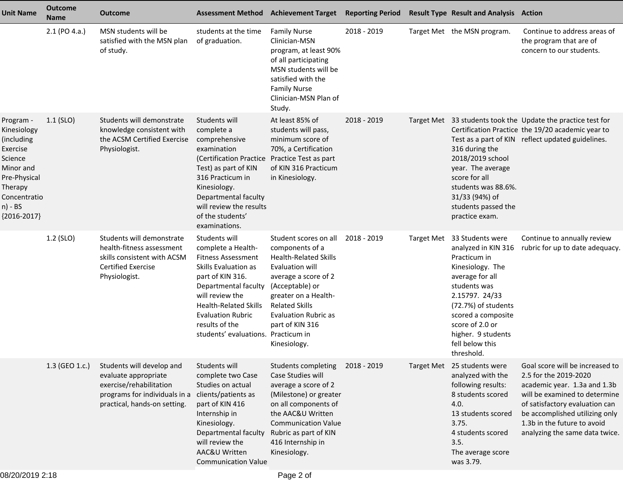| <b>Unit Name</b>                                                                                                                                  | <b>Outcome</b><br>Name | <b>Outcome</b>                                                                                                                                | <b>Assessment Method</b>                                                                                                                                                                                                                                                     | <b>Achievement Target</b>                                                                                                                                                                                                                                 | <b>Reporting Period</b> | <b>Result Type Result and Analysis Action</b>                                                                                                                                                                                                                      |                                                                                                                                                                                                                                                                |
|---------------------------------------------------------------------------------------------------------------------------------------------------|------------------------|-----------------------------------------------------------------------------------------------------------------------------------------------|------------------------------------------------------------------------------------------------------------------------------------------------------------------------------------------------------------------------------------------------------------------------------|-----------------------------------------------------------------------------------------------------------------------------------------------------------------------------------------------------------------------------------------------------------|-------------------------|--------------------------------------------------------------------------------------------------------------------------------------------------------------------------------------------------------------------------------------------------------------------|----------------------------------------------------------------------------------------------------------------------------------------------------------------------------------------------------------------------------------------------------------------|
|                                                                                                                                                   | $2.1$ (PO 4.a.)        | MSN students will be<br>satisfied with the MSN plan<br>of study.                                                                              | students at the time<br>of graduation.                                                                                                                                                                                                                                       | <b>Family Nurse</b><br>Clinician-MSN<br>program, at least 90%<br>of all participating<br>MSN students will be<br>satisfied with the<br><b>Family Nurse</b><br>Clinician-MSN Plan of<br>Study.                                                             | 2018 - 2019             | Target Met the MSN program.                                                                                                                                                                                                                                        | Continue to address areas of<br>the program that are of<br>concern to our students.                                                                                                                                                                            |
| Program -<br>Kinesiology<br>(including<br>Exercise<br>Science<br>Minor and<br>Pre-Physical<br>Therapy<br>Concentratio<br>n) - BS<br>${2016-2017}$ | $1.1$ (SLO)            | Students will demonstrate<br>knowledge consistent with<br>the ACSM Certified Exercise<br>Physiologist.                                        | Students will<br>complete a<br>comprehensive<br>examination<br>(Certification Practice Practice Test as part<br>Test) as part of KIN<br>316 Practicum in<br>Kinesiology.<br>Departmental faculty<br>will review the results<br>of the students'<br>examinations.             | At least 85% of<br>students will pass,<br>minimum score of<br>70%, a Certification<br>of KIN 316 Practicum<br>in Kinesiology.                                                                                                                             | 2018 - 2019             | 316 during the<br>2018/2019 school<br>year. The average<br>score for all<br>students was 88.6%.<br>31/33 (94%) of<br>students passed the<br>practice exam.                                                                                                         | Target Met 33 students took the Update the practice test for<br>Certification Practice the 19/20 academic year to<br>Test as a part of KIN reflect updated guidelines.                                                                                         |
|                                                                                                                                                   | 1.2 (SLO)              | Students will demonstrate<br>health-fitness assessment<br>skills consistent with ACSM<br><b>Certified Exercise</b><br>Physiologist.           | Students will<br>complete a Health-<br><b>Fitness Assessment</b><br>Skills Evaluation as<br>part of KIN 316.<br>Departmental faculty<br>will review the<br><b>Health-Related Skills</b><br><b>Evaluation Rubric</b><br>results of the<br>students' evaluations. Practicum in | Student scores on all<br>components of a<br><b>Health-Related Skills</b><br>Evaluation will<br>average a score of 2<br>(Acceptable) or<br>greater on a Health-<br><b>Related Skills</b><br><b>Evaluation Rubric as</b><br>part of KIN 316<br>Kinesiology. | 2018 - 2019             | Target Met 33 Students were<br>analyzed in KIN 316<br>Practicum in<br>Kinesiology. The<br>average for all<br>students was<br>2.15797. 24/33<br>(72.7%) of students<br>scored a composite<br>score of 2.0 or<br>higher. 9 students<br>fell below this<br>threshold. | Continue to annually review<br>rubric for up to date adequacy.                                                                                                                                                                                                 |
|                                                                                                                                                   | 1.3 (GEO 1.c.)         | Students will develop and<br>evaluate appropriate<br>exercise/rehabilitation<br>programs for individuals in a<br>practical, hands-on setting. | Students will<br>complete two Case<br>Studies on actual<br>clients/patients as<br>part of KIN 416<br>Internship in<br>Kinesiology.<br>Departmental faculty<br>will review the<br>AAC&U Written<br><b>Communication Value</b>                                                 | Students completing<br>Case Studies will<br>average a score of 2<br>(Milestone) or greater<br>on all components of<br>the AAC&U Written<br><b>Communication Value</b><br>Rubric as part of KIN<br>416 Internship in<br>Kinesiology.                       | 2018 - 2019             | Target Met 25 students were<br>analyzed with the<br>following results:<br>8 students scored<br>4.0.<br>13 students scored<br>3.75.<br>4 students scored<br>3.5.<br>The average score<br>was 3.79.                                                                  | Goal score will be increased to<br>2.5 for the 2019-2020<br>academic year. 1.3a and 1.3b<br>will be examined to determine<br>of satisfactory evaluation can<br>be accomplished utilizing only<br>1.3b in the future to avoid<br>analyzing the same data twice. |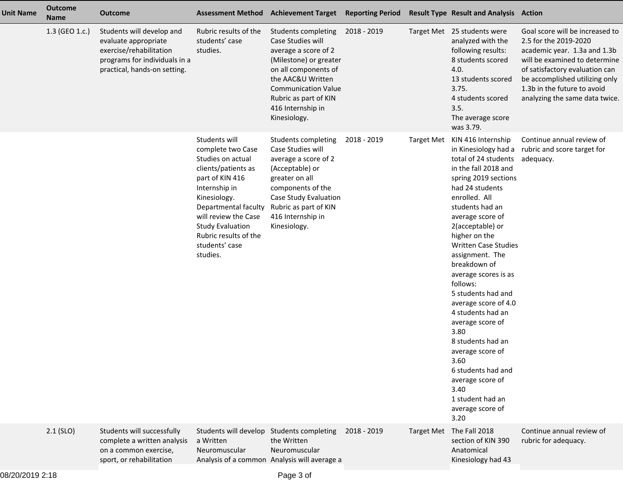| Unit Name | <b>Outcome</b><br><b>Name</b> | <b>Outcome</b>                                                                                                                                |                                                                                                                                                                                                                                                                      | Assessment Method Achievement Target Reporting Period                                                                                                                                                                               |             |                   | <b>Result Type Result and Analysis Action</b>                                                                                                                                                                                                                                                                                                                                                                                                                                                                                                                                              |                                                                                                                                                                                                                                                                |
|-----------|-------------------------------|-----------------------------------------------------------------------------------------------------------------------------------------------|----------------------------------------------------------------------------------------------------------------------------------------------------------------------------------------------------------------------------------------------------------------------|-------------------------------------------------------------------------------------------------------------------------------------------------------------------------------------------------------------------------------------|-------------|-------------------|--------------------------------------------------------------------------------------------------------------------------------------------------------------------------------------------------------------------------------------------------------------------------------------------------------------------------------------------------------------------------------------------------------------------------------------------------------------------------------------------------------------------------------------------------------------------------------------------|----------------------------------------------------------------------------------------------------------------------------------------------------------------------------------------------------------------------------------------------------------------|
|           | 1.3 (GEO 1.c.)                | Students will develop and<br>evaluate appropriate<br>exercise/rehabilitation<br>programs for individuals in a<br>practical, hands-on setting. | Rubric results of the<br>students' case<br>studies.                                                                                                                                                                                                                  | Students completing<br>Case Studies will<br>average a score of 2<br>(Milestone) or greater<br>on all components of<br>the AAC&U Written<br><b>Communication Value</b><br>Rubric as part of KIN<br>416 Internship in<br>Kinesiology. | 2018 - 2019 |                   | Target Met 25 students were<br>analyzed with the<br>following results:<br>8 students scored<br>4.0.<br>13 students scored<br>3.75.<br>4 students scored<br>3.5.<br>The average score<br>was 3.79.                                                                                                                                                                                                                                                                                                                                                                                          | Goal score will be increased to<br>2.5 for the 2019-2020<br>academic year. 1.3a and 1.3b<br>will be examined to determine<br>of satisfactory evaluation can<br>be accomplished utilizing only<br>1.3b in the future to avoid<br>analyzing the same data twice. |
|           |                               |                                                                                                                                               | Students will<br>complete two Case<br>Studies on actual<br>clients/patients as<br>part of KIN 416<br>Internship in<br>Kinesiology.<br>Departmental faculty<br>will review the Case<br><b>Study Evaluation</b><br>Rubric results of the<br>students' case<br>studies. | Students completing<br>Case Studies will<br>average a score of 2<br>(Acceptable) or<br>greater on all<br>components of the<br>Case Study Evaluation<br>Rubric as part of KIN<br>416 Internship in<br>Kinesiology.                   | 2018 - 2019 | <b>Target Met</b> | KIN 416 Internship<br>in Kinesiology had a<br>total of 24 students<br>in the fall 2018 and<br>spring 2019 sections<br>had 24 students<br>enrolled. All<br>students had an<br>average score of<br>2(acceptable) or<br>higher on the<br><b>Written Case Studies</b><br>assignment. The<br>breakdown of<br>average scores is as<br>follows:<br>5 students had and<br>average score of 4.0<br>4 students had an<br>average score of<br>3.80<br>8 students had an<br>average score of<br>3.60<br>6 students had and<br>average score of<br>3.40<br>1 student had an<br>average score of<br>3.20 | Continue annual review of<br>rubric and score target for<br>adequacy.                                                                                                                                                                                          |
|           | $2.1$ (SLO)                   | Students will successfully<br>complete a written analysis<br>on a common exercise,<br>sport, or rehabilitation                                | Students will develop Students completing<br>a Written<br>Neuromuscular                                                                                                                                                                                              | the Written<br>Neuromuscular<br>Analysis of a common Analysis will average a                                                                                                                                                        | 2018 - 2019 | <b>Target Met</b> | The Fall 2018<br>section of KIN 390<br>Anatomical<br>Kinesiology had 43                                                                                                                                                                                                                                                                                                                                                                                                                                                                                                                    | Continue annual review of<br>rubric for adequacy.                                                                                                                                                                                                              |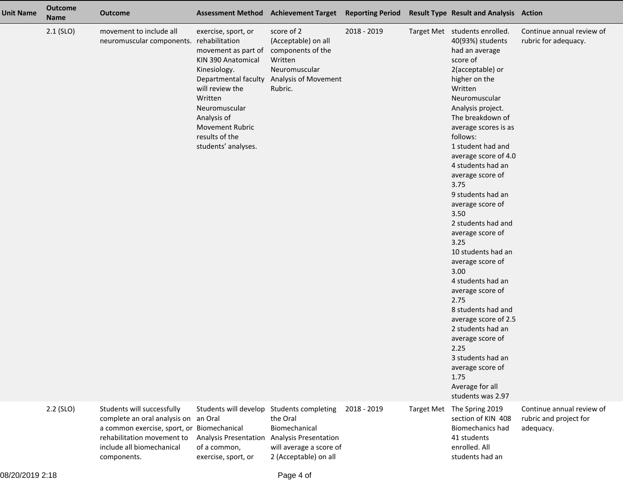| <b>Unit Name</b> | <b>Outcome</b><br><b>Name</b> | <b>Outcome</b>                                                                                                                                                                             |                                                                                                                                                                                                                                                             | Assessment Method Achievement Target Reporting Period Result Type Result and Analysis Action                                 |             |                                                                                                                                                                                                                                                                                                                                                                                                                                                                                                                                                                                                                                                                                                                           |                                                                  |
|------------------|-------------------------------|--------------------------------------------------------------------------------------------------------------------------------------------------------------------------------------------|-------------------------------------------------------------------------------------------------------------------------------------------------------------------------------------------------------------------------------------------------------------|------------------------------------------------------------------------------------------------------------------------------|-------------|---------------------------------------------------------------------------------------------------------------------------------------------------------------------------------------------------------------------------------------------------------------------------------------------------------------------------------------------------------------------------------------------------------------------------------------------------------------------------------------------------------------------------------------------------------------------------------------------------------------------------------------------------------------------------------------------------------------------------|------------------------------------------------------------------|
|                  | $2.1$ (SLO)                   | movement to include all<br>neuromuscular components.                                                                                                                                       | exercise, sport, or<br>rehabilitation<br>movement as part of<br>KIN 390 Anatomical<br>Kinesiology.<br>Departmental faculty<br>will review the<br>Written<br>Neuromuscular<br>Analysis of<br><b>Movement Rubric</b><br>results of the<br>students' analyses. | score of 2<br>(Acceptable) on all<br>components of the<br>Written<br>Neuromuscular<br><b>Analysis of Movement</b><br>Rubric. | 2018 - 2019 | Target Met students enrolled.<br>40(93%) students<br>had an average<br>score of<br>2(acceptable) or<br>higher on the<br>Written<br>Neuromuscular<br>Analysis project.<br>The breakdown of<br>average scores is as<br>follows:<br>1 student had and<br>average score of 4.0<br>4 students had an<br>average score of<br>3.75<br>9 students had an<br>average score of<br>3.50<br>2 students had and<br>average score of<br>3.25<br>10 students had an<br>average score of<br>3.00<br>4 students had an<br>average score of<br>2.75<br>8 students had and<br>average score of 2.5<br>2 students had an<br>average score of<br>2.25<br>3 students had an<br>average score of<br>1.75<br>Average for all<br>students was 2.97 | Continue annual review of<br>rubric for adequacy.                |
|                  | 2.2 (SLO)                     | Students will successfully<br>complete an oral analysis on an Oral<br>a common exercise, sport, or Biomechanical<br>rehabilitation movement to<br>include all biomechanical<br>components. | Students will develop Students completing<br>Analysis Presentation Analysis Presentation<br>of a common,<br>exercise, sport, or                                                                                                                             | the Oral<br>Biomechanical<br>will average a score of<br>2 (Acceptable) on all                                                | 2018 - 2019 | Target Met The Spring 2019<br>section of KIN 408<br><b>Biomechanics had</b><br>41 students<br>enrolled. All<br>students had an                                                                                                                                                                                                                                                                                                                                                                                                                                                                                                                                                                                            | Continue annual review of<br>rubric and project for<br>adequacy. |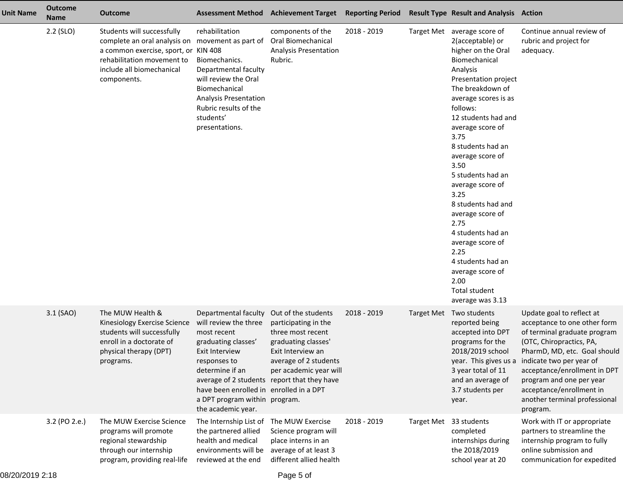| <b>Unit Name</b> | <b>Outcome</b><br><b>Name</b> | <b>Outcome</b>                                                                                                                                                                                   |                                                                                                                                                                                                                                            | Assessment Method Achievement Target Reporting Period                                                                                                                                                          |             |                        | <b>Result Type Result and Analysis Action</b>                                                                                                                                                                                                                                                                                                                                                                                                                                                                                    |                                                                                                                                                                                                                                                                                                                        |
|------------------|-------------------------------|--------------------------------------------------------------------------------------------------------------------------------------------------------------------------------------------------|--------------------------------------------------------------------------------------------------------------------------------------------------------------------------------------------------------------------------------------------|----------------------------------------------------------------------------------------------------------------------------------------------------------------------------------------------------------------|-------------|------------------------|----------------------------------------------------------------------------------------------------------------------------------------------------------------------------------------------------------------------------------------------------------------------------------------------------------------------------------------------------------------------------------------------------------------------------------------------------------------------------------------------------------------------------------|------------------------------------------------------------------------------------------------------------------------------------------------------------------------------------------------------------------------------------------------------------------------------------------------------------------------|
|                  | 2.2 (SLO)                     | Students will successfully<br>complete an oral analysis on movement as part of<br>a common exercise, sport, or KIN 408<br>rehabilitation movement to<br>include all biomechanical<br>components. | rehabilitation<br>Biomechanics.<br>Departmental faculty<br>will review the Oral<br>Biomechanical<br><b>Analysis Presentation</b><br>Rubric results of the<br>students'<br>presentations.                                                   | components of the<br><b>Oral Biomechanical</b><br>Analysis Presentation<br>Rubric.                                                                                                                             | 2018 - 2019 |                        | Target Met average score of<br>2(acceptable) or<br>higher on the Oral<br>Biomechanical<br>Analysis<br>Presentation project<br>The breakdown of<br>average scores is as<br>follows:<br>12 students had and<br>average score of<br>3.75<br>8 students had an<br>average score of<br>3.50<br>5 students had an<br>average score of<br>3.25<br>8 students had and<br>average score of<br>2.75<br>4 students had an<br>average score of<br>2.25<br>4 students had an<br>average score of<br>2.00<br>Total student<br>average was 3.13 | Continue annual review of<br>rubric and project for<br>adequacy.                                                                                                                                                                                                                                                       |
|                  | 3.1 (SAO)                     | The MUW Health &<br>Kinesiology Exercise Science<br>students will successfully<br>enroll in a doctorate of<br>physical therapy (DPT)<br>programs.                                                | Departmental faculty<br>will review the three<br>most recent<br>graduating classes'<br>Exit Interview<br>responses to<br>determine if an<br>have been enrolled in enrolled in a DPT<br>a DPT program within program.<br>the academic year. | Out of the students<br>participating in the<br>three most recent<br>graduating classes'<br>Exit Interview an<br>average of 2 students<br>per academic year will<br>average of 2 students report that they have | 2018 - 2019 |                        | Target Met Two students<br>reported being<br>accepted into DPT<br>programs for the<br>2018/2019 school<br>year. This gives us a<br>3 year total of 11<br>and an average of<br>3.7 students per<br>year.                                                                                                                                                                                                                                                                                                                          | Update goal to reflect at<br>acceptance to one other form<br>of terminal graduate program<br>(OTC, Chiropractics, PA,<br>PharmD, MD, etc. Goal should<br>indicate two per year of<br>acceptance/enrollment in DPT<br>program and one per year<br>acceptance/enrollment in<br>another terminal professional<br>program. |
|                  | 3.2 (PO 2.e.)                 | The MUW Exercise Science<br>programs will promote<br>regional stewardship<br>through our internship<br>program, providing real-life                                                              | The Internship List of<br>the partnered allied<br>health and medical<br>environments will be<br>reviewed at the end                                                                                                                        | The MUW Exercise<br>Science program will<br>place interns in an<br>average of at least 3<br>different allied health                                                                                            | 2018 - 2019 | Target Met 33 students | completed<br>internships during<br>the 2018/2019<br>school year at 20                                                                                                                                                                                                                                                                                                                                                                                                                                                            | Work with IT or appropriate<br>partners to streamline the<br>internship program to fully<br>online submission and<br>communication for expedited                                                                                                                                                                       |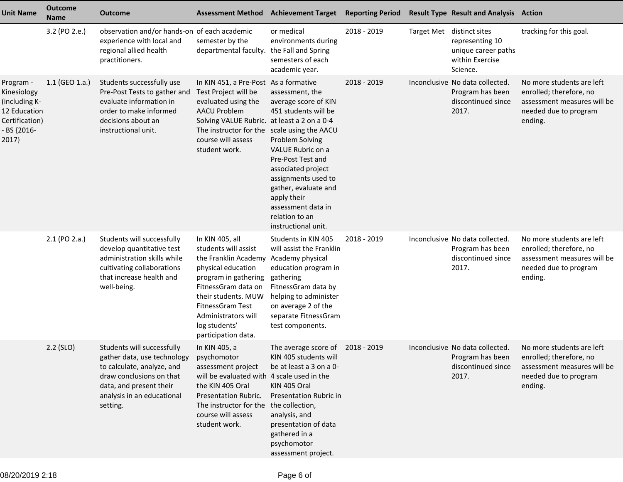| <b>Unit Name</b>                                                                                    | <b>Outcome</b><br>Name | <b>Outcome</b>                                                                                                                                                                                       | <b>Assessment Method</b>                                                                                                                                                                                                                         | <b>Achievement Target</b>                                                                                                                                                                                                                                                              | <b>Reporting Period</b> | <b>Result Type Result and Analysis Action</b>                                                      |                                                                                                                         |
|-----------------------------------------------------------------------------------------------------|------------------------|------------------------------------------------------------------------------------------------------------------------------------------------------------------------------------------------------|--------------------------------------------------------------------------------------------------------------------------------------------------------------------------------------------------------------------------------------------------|----------------------------------------------------------------------------------------------------------------------------------------------------------------------------------------------------------------------------------------------------------------------------------------|-------------------------|----------------------------------------------------------------------------------------------------|-------------------------------------------------------------------------------------------------------------------------|
|                                                                                                     | 3.2 (PO 2.e.)          | observation and/or hands-on of each academic<br>experience with local and<br>regional allied health<br>practitioners.                                                                                | semester by the<br>departmental faculty.                                                                                                                                                                                                         | or medical<br>environments during<br>the Fall and Spring<br>semesters of each<br>academic year.                                                                                                                                                                                        | 2018 - 2019             | Target Met distinct sites<br>representing 10<br>unique career paths<br>within Exercise<br>Science. | tracking for this goal.                                                                                                 |
| Program -<br>Kinesiology<br>(including K-<br>12 Education<br>Certification)<br>- BS {2016-<br>2017} | $1.1$ (GEO 1.a.)       | Students successfully use<br>Pre-Post Tests to gather and<br>evaluate information in<br>order to make informed<br>decisions about an<br>instructional unit.                                          | In KIN 451, a Pre-Post As a formative<br>Test Project will be<br>evaluated using the<br><b>AACU Problem</b><br>Solving VALUE Rubric. at least a 2 on a 0-4<br>The instructor for the scale using the AACU<br>course will assess<br>student work. | assessment, the<br>average score of KIN<br>451 students will be<br><b>Problem Solving</b><br>VALUE Rubric on a<br>Pre-Post Test and<br>associated project<br>assignments used to<br>gather, evaluate and<br>apply their<br>assessment data in<br>relation to an<br>instructional unit. | 2018 - 2019             | Inconclusive No data collected.<br>Program has been<br>discontinued since<br>2017.                 | No more students are left<br>enrolled; therefore, no<br>assessment measures will be<br>needed due to program<br>ending. |
|                                                                                                     | 2.1 (PO 2.a.)          | Students will successfully<br>develop quantitative test<br>administration skills while<br>cultivating collaborations<br>that increase health and<br>well-being.                                      | In KIN 405, all<br>students will assist<br>the Franklin Academy<br>physical education<br>program in gathering<br>FitnessGram data on<br>their students. MUW<br>FitnessGram Test<br>Administrators will<br>log students'<br>participation data.   | Students in KIN 405<br>will assist the Franklin<br>Academy physical<br>education program in<br>gathering<br>FitnessGram data by<br>helping to administer<br>on average 2 of the<br>separate FitnessGram<br>test components.                                                            | 2018 - 2019             | Inconclusive No data collected.<br>Program has been<br>discontinued since<br>2017.                 | No more students are left<br>enrolled; therefore, no<br>assessment measures will be<br>needed due to program<br>ending. |
|                                                                                                     | $2.2$ (SLO)            | Students will successfully<br>gather data, use technology psychomotor<br>to calculate, analyze, and<br>draw conclusions on that<br>data, and present their<br>analysis in an educational<br>setting. | In KIN 405, a<br>assessment project<br>will be evaluated with 4 scale used in the<br>the KIN 405 Oral<br><b>Presentation Rubric.</b><br>The instructor for the<br>course will assess<br>student work.                                            | The average score of 2018 - 2019<br>KIN 405 students will<br>be at least a 3 on a 0-<br>KIN 405 Oral<br>Presentation Rubric in<br>the collection,<br>analysis, and<br>presentation of data<br>gathered in a<br>psychomotor<br>assessment project.                                      |                         | Inconclusive No data collected.<br>Program has been<br>discontinued since<br>2017.                 | No more students are left<br>enrolled; therefore, no<br>assessment measures will be<br>needed due to program<br>ending. |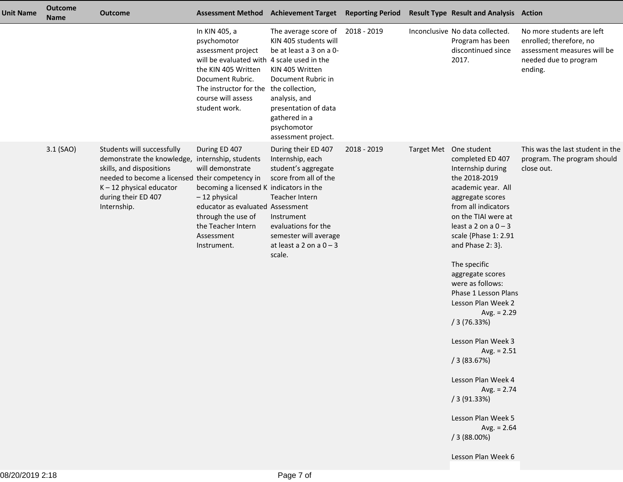| <b>Unit Name</b> | <b>Outcome</b><br><b>Name</b> | <b>Outcome</b>                                                                                                                                                                                                                   |                                                                                                                                                                                                                              | <b>Assessment Method Achievement Target</b>                                                                                                                                                                       | <b>Reporting Period</b> | <b>Result Type Result and Analysis Action</b>                                                                                                                                                                                                                                                                                                                                                                                                                                                                                                                            |                                                                                                                         |
|------------------|-------------------------------|----------------------------------------------------------------------------------------------------------------------------------------------------------------------------------------------------------------------------------|------------------------------------------------------------------------------------------------------------------------------------------------------------------------------------------------------------------------------|-------------------------------------------------------------------------------------------------------------------------------------------------------------------------------------------------------------------|-------------------------|--------------------------------------------------------------------------------------------------------------------------------------------------------------------------------------------------------------------------------------------------------------------------------------------------------------------------------------------------------------------------------------------------------------------------------------------------------------------------------------------------------------------------------------------------------------------------|-------------------------------------------------------------------------------------------------------------------------|
|                  |                               |                                                                                                                                                                                                                                  | In KIN 405, a<br>psychomotor<br>assessment project<br>will be evaluated with 4 scale used in the<br>the KIN 405 Written<br>Document Rubric.<br>The instructor for the the collection,<br>course will assess<br>student work. | The average score of<br>KIN 405 students will<br>be at least a 3 on a 0-<br>KIN 405 Written<br>Document Rubric in<br>analysis, and<br>presentation of data<br>gathered in a<br>psychomotor<br>assessment project. | 2018 - 2019             | Inconclusive No data collected.<br>Program has been<br>discontinued since<br>2017.                                                                                                                                                                                                                                                                                                                                                                                                                                                                                       | No more students are left<br>enrolled; therefore, no<br>assessment measures will be<br>needed due to program<br>ending. |
|                  | 3.1 (SAO)                     | Students will successfully<br>demonstrate the knowledge, internship, students<br>skills, and dispositions<br>needed to become a licensed their competency in<br>$K - 12$ physical educator<br>during their ED 407<br>Internship. | During ED 407<br>will demonstrate<br>becoming a licensed K indicators in the<br>$-12$ physical<br>educator as evaluated Assessment<br>through the use of<br>the Teacher Intern<br>Assessment<br>Instrument.                  | During their ED 407<br>Internship, each<br>student's aggregate<br>score from all of the<br>Teacher Intern<br>Instrument<br>evaluations for the<br>semester will average<br>at least a 2 on a $0 - 3$<br>scale.    | 2018 - 2019             | Target Met One student<br>completed ED 407<br>Internship during<br>the 2018-2019<br>academic year. All<br>aggregate scores<br>from all indicators<br>on the TIAI were at<br>least a 2 on a $0 - 3$<br>scale {Phase 1: 2.91<br>and Phase 2: 3}.<br>The specific<br>aggregate scores<br>were as follows:<br>Phase 1 Lesson Plans<br>Lesson Plan Week 2<br>Avg. $= 2.29$<br>/3(76.33%)<br>Lesson Plan Week 3<br>Avg. $= 2.51$<br>/3(83.67%)<br>Lesson Plan Week 4<br>Avg. $= 2.74$<br>/3(91.33%)<br>Lesson Plan Week 5<br>Avg. $= 2.64$<br>/3(88.00%)<br>Lesson Plan Week 6 | This was the last student in the<br>program. The program should<br>close out.                                           |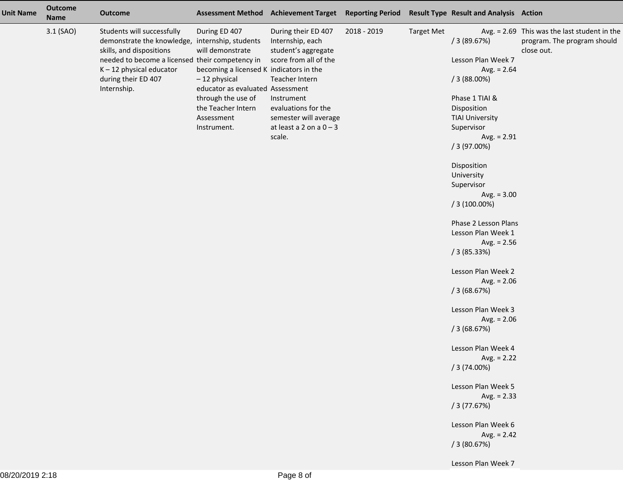| <b>Unit Name</b> | Outcome<br><b>Name</b> | <b>Outcome</b>                                                                                                                                                                                                                   |                                                                                                                                                                                                             | Assessment Method Achievement Target Reporting Period Result Type Result and Analysis Action                                                                                                                   |             |                   |                                                                                                                                                                                                                                                                                                                                                                                                                                                                                                                                                                                                                                   |                                                                                             |
|------------------|------------------------|----------------------------------------------------------------------------------------------------------------------------------------------------------------------------------------------------------------------------------|-------------------------------------------------------------------------------------------------------------------------------------------------------------------------------------------------------------|----------------------------------------------------------------------------------------------------------------------------------------------------------------------------------------------------------------|-------------|-------------------|-----------------------------------------------------------------------------------------------------------------------------------------------------------------------------------------------------------------------------------------------------------------------------------------------------------------------------------------------------------------------------------------------------------------------------------------------------------------------------------------------------------------------------------------------------------------------------------------------------------------------------------|---------------------------------------------------------------------------------------------|
|                  | 3.1 (SAO)              | Students will successfully<br>demonstrate the knowledge, internship, students<br>skills, and dispositions<br>needed to become a licensed their competency in<br>$K - 12$ physical educator<br>during their ED 407<br>Internship. | During ED 407<br>will demonstrate<br>becoming a licensed K indicators in the<br>$-12$ physical<br>educator as evaluated Assessment<br>through the use of<br>the Teacher Intern<br>Assessment<br>Instrument. | During their ED 407<br>Internship, each<br>student's aggregate<br>score from all of the<br>Teacher Intern<br>Instrument<br>evaluations for the<br>semester will average<br>at least a 2 on a $0 - 3$<br>scale. | 2018 - 2019 | <b>Target Met</b> | /3(89.67%)<br>Lesson Plan Week 7<br>Avg. $= 2.64$<br>/3(88.00%)<br>Phase 1 TIAI &<br>Disposition<br><b>TIAI University</b><br>Supervisor<br>Avg. $= 2.91$<br>/3(97.00%)<br>Disposition<br>University<br>Supervisor<br>Avg. $= 3.00$<br>$/3(100.00\%)$<br>Phase 2 Lesson Plans<br>Lesson Plan Week 1<br>Avg. $= 2.56$<br>/3(85.33%)<br>Lesson Plan Week 2<br>Avg. $= 2.06$<br>/3(68.67%)<br>Lesson Plan Week 3<br>Avg. $= 2.06$<br>/3(68.67%)<br>Lesson Plan Week 4<br>Avg. $= 2.22$<br>/3(74.00%)<br>Lesson Plan Week 5<br>Avg. $= 2.33$<br>/3(77.67%)<br>Lesson Plan Week 6<br>Avg. $= 2.42$<br>/3(80.67%)<br>Lesson Plan Week 7 | Avg. $= 2.69$ This was the last student in the<br>program. The program should<br>close out. |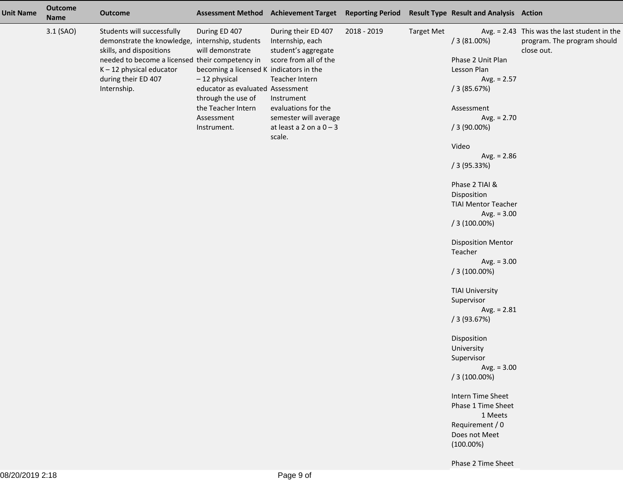| <b>Unit Name</b> | Outcome<br><b>Name</b> | <b>Outcome</b>                                                                                                                                                                                                                   |                                                                                                                                                                                                             | Assessment Method Achievement Target Reporting Period                                                                                                                                                          |             |                   | <b>Result Type Result and Analysis Action</b>                                                                                                                                                                                                                                                                                                                                                                                                                                                                                                                                                                                           |                                                                                           |
|------------------|------------------------|----------------------------------------------------------------------------------------------------------------------------------------------------------------------------------------------------------------------------------|-------------------------------------------------------------------------------------------------------------------------------------------------------------------------------------------------------------|----------------------------------------------------------------------------------------------------------------------------------------------------------------------------------------------------------------|-------------|-------------------|-----------------------------------------------------------------------------------------------------------------------------------------------------------------------------------------------------------------------------------------------------------------------------------------------------------------------------------------------------------------------------------------------------------------------------------------------------------------------------------------------------------------------------------------------------------------------------------------------------------------------------------------|-------------------------------------------------------------------------------------------|
|                  | 3.1 (SAO)              | Students will successfully<br>demonstrate the knowledge, internship, students<br>skills, and dispositions<br>needed to become a licensed their competency in<br>$K - 12$ physical educator<br>during their ED 407<br>Internship. | During ED 407<br>will demonstrate<br>becoming a licensed K indicators in the<br>$-12$ physical<br>educator as evaluated Assessment<br>through the use of<br>the Teacher Intern<br>Assessment<br>Instrument. | During their ED 407<br>Internship, each<br>student's aggregate<br>score from all of the<br>Teacher Intern<br>Instrument<br>evaluations for the<br>semester will average<br>at least a 2 on a $0 - 3$<br>scale. | 2018 - 2019 | <b>Target Met</b> | /3(81.00%)<br>Phase 2 Unit Plan<br>Lesson Plan<br>Avg. $= 2.57$<br>/3(85.67%)<br>Assessment<br>Avg. $= 2.70$<br>$/3(90.00\%)$<br>Video<br>Avg. $= 2.86$<br>/3(95.33%)<br>Phase 2 TIAI &<br>Disposition<br><b>TIAI Mentor Teacher</b><br>Avg. $= 3.00$<br>$/3(100.00\%)$<br><b>Disposition Mentor</b><br>Teacher<br>Avg. $= 3.00$<br>$/3(100.00\%)$<br><b>TIAI University</b><br>Supervisor<br>Avg. $= 2.81$<br>/3(93.67%)<br>Disposition<br>University<br>Supervisor<br>Avg. $= 3.00$<br>$/3(100.00\%)$<br>Intern Time Sheet<br>Phase 1 Time Sheet<br>1 Meets<br>Requirement / 0<br>Does not Meet<br>$(100.00\%)$<br>Phase 2 Time Sheet | Avg. = 2.43 This was the last student in the<br>program. The program should<br>close out. |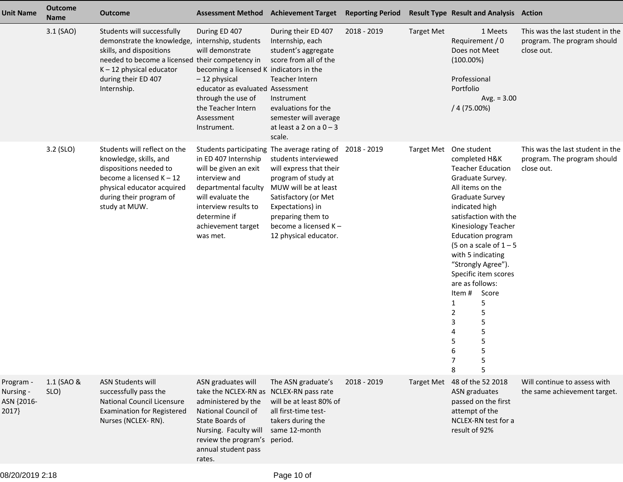| <b>Unit Name</b>                              | <b>Outcome</b><br><b>Name</b> | <b>Outcome</b>                                                                                                                                                                                              | <b>Assessment Method</b>                                                                                                                                                                                                            | <b>Achievement Target</b>                                                                                                                                                                                                                                                    | <b>Reporting Period</b> |                   | <b>Result Type Result and Analysis Action</b>                                                                                                                                                                                                                                                                                                                                                                                                                     |                                                                               |
|-----------------------------------------------|-------------------------------|-------------------------------------------------------------------------------------------------------------------------------------------------------------------------------------------------------------|-------------------------------------------------------------------------------------------------------------------------------------------------------------------------------------------------------------------------------------|------------------------------------------------------------------------------------------------------------------------------------------------------------------------------------------------------------------------------------------------------------------------------|-------------------------|-------------------|-------------------------------------------------------------------------------------------------------------------------------------------------------------------------------------------------------------------------------------------------------------------------------------------------------------------------------------------------------------------------------------------------------------------------------------------------------------------|-------------------------------------------------------------------------------|
|                                               | 3.1 (SAO)                     | Students will successfully<br>demonstrate the knowledge,<br>skills, and dispositions<br>needed to become a licensed their competency in<br>$K - 12$ physical educator<br>during their ED 407<br>Internship. | During ED 407<br>internship, students<br>will demonstrate<br>becoming a licensed K indicators in the<br>$-12$ physical<br>educator as evaluated Assessment<br>through the use of<br>the Teacher Intern<br>Assessment<br>Instrument. | During their ED 407<br>Internship, each<br>student's aggregate<br>score from all of the<br>Teacher Intern<br>Instrument<br>evaluations for the<br>semester will average<br>at least a 2 on a $0 - 3$<br>scale.                                                               | 2018 - 2019             | <b>Target Met</b> | 1 Meets<br>Requirement / 0<br>Does not Meet<br>$(100.00\%)$<br>Professional<br>Portfolio<br>Avg. $= 3.00$<br>$/4(75.00\%)$                                                                                                                                                                                                                                                                                                                                        | This was the last student in the<br>program. The program should<br>close out. |
|                                               | 3.2 (SLO)                     | Students will reflect on the<br>knowledge, skills, and<br>dispositions needed to<br>become a licensed $K - 12$<br>physical educator acquired<br>during their program of<br>study at MUW.                    | in ED 407 Internship<br>will be given an exit<br>interview and<br>departmental faculty<br>will evaluate the<br>interview results to<br>determine if<br>achievement target<br>was met.                                               | Students participating The average rating of 2018 - 2019<br>students interviewed<br>will express that their<br>program of study at<br>MUW will be at least<br>Satisfactory (or Met<br>Expectations) in<br>preparing them to<br>become a licensed K-<br>12 physical educator. |                         |                   | Target Met One student<br>completed H&K<br><b>Teacher Education</b><br>Graduate Survey.<br>All items on the<br><b>Graduate Survey</b><br>indicated high<br>satisfaction with the<br>Kinesiology Teacher<br><b>Education program</b><br>(5 on a scale of $1 - 5$<br>with 5 indicating<br>"Strongly Agree").<br>Specific item scores<br>are as follows:<br>Item#<br>Score<br>5<br>1<br>5<br>2<br>3<br>5<br>$\mathsf S$<br>4<br>5<br>5<br>5<br>6<br>5<br>7<br>5<br>8 | This was the last student in the<br>program. The program should<br>close out. |
| Program -<br>Nursing -<br>ASN {2016-<br>2017} | 1.1 (SAO &<br>SLO)            | <b>ASN Students will</b><br>successfully pass the<br><b>National Council Licensure</b><br><b>Examination for Registered</b><br>Nurses (NCLEX-RN).                                                           | ASN graduates will<br>take the NCLEX-RN as NCLEX-RN pass rate<br>administered by the<br>National Council of<br>State Boards of<br>Nursing. Faculty will<br>review the program's period.<br>annual student pass<br>rates.            | The ASN graduate's<br>will be at least 80% of<br>all first-time test-<br>takers during the<br>same 12-month                                                                                                                                                                  | 2018 - 2019             |                   | Target Met 48 of the 52 2018<br>ASN graduates<br>passed on the first<br>attempt of the<br>NCLEX-RN test for a<br>result of 92%                                                                                                                                                                                                                                                                                                                                    | Will continue to assess with<br>the same achievement target.                  |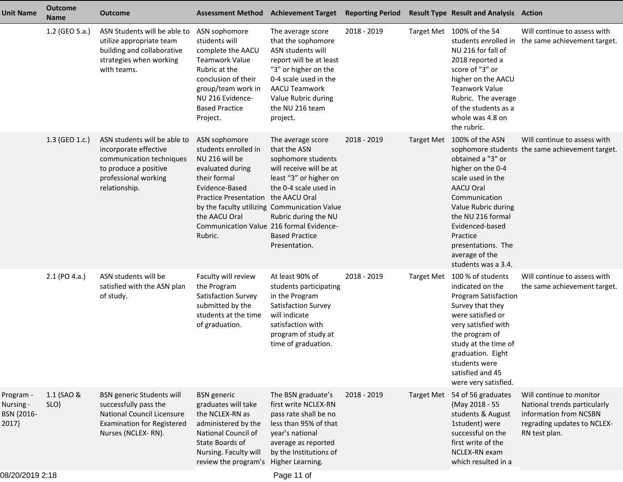| <b>Unit Name</b>                              | <b>Outcome</b><br><b>Name</b> | <b>Outcome</b>                                                                                                                                            | <b>Assessment Method Achievement Target</b>                                                                                                                                                                           |                                                                                                                                                                                                                                                                          | <b>Reporting Period</b> |                   | <b>Result Type Result and Analysis Action</b>                                                                                                                                                                                                                    |                                                                                                                                    |
|-----------------------------------------------|-------------------------------|-----------------------------------------------------------------------------------------------------------------------------------------------------------|-----------------------------------------------------------------------------------------------------------------------------------------------------------------------------------------------------------------------|--------------------------------------------------------------------------------------------------------------------------------------------------------------------------------------------------------------------------------------------------------------------------|-------------------------|-------------------|------------------------------------------------------------------------------------------------------------------------------------------------------------------------------------------------------------------------------------------------------------------|------------------------------------------------------------------------------------------------------------------------------------|
|                                               | 1.2 (GEO 5.a.)                | ASN Students will be able to<br>utilize appropriate team<br>building and collaborative<br>strategies when working<br>with teams.                          | ASN sophomore<br>students will<br>complete the AACU<br><b>Teamwork Value</b><br>Rubric at the<br>conclusion of their<br>group/team work in<br>NU 216 Evidence-<br><b>Based Practice</b><br>Project.                   | The average score<br>that the sophomore<br>ASN students will<br>report will be at least<br>"3" or higher on the<br>0-4 scale used in the<br><b>AACU Teamwork</b><br>Value Rubric during<br>the NU 216 team<br>project.                                                   | 2018 - 2019             |                   | Target Met 100% of the 54<br>NU 216 for fall of<br>2018 reported a<br>score of "3" or<br>higher on the AACU<br><b>Teanwork Value</b><br>Rubric. The average<br>of the students as a<br>whole was 4.8 on<br>the rubric.                                           | Will continue to assess with<br>students enrolled in the same achievement target.                                                  |
|                                               | 1.3 (GEO 1.c.)                | ASN students will be able to<br>incorporate effective<br>communication techniques<br>to produce a positive<br>professional working<br>relationship.       | ASN sophomore<br>students enrolled in<br>NU 216 will be<br>evaluated during<br>their formal<br>Evidence-Based<br><b>Practice Presentation</b><br>the AACU Oral<br>Communication Value 216 formal Evidence-<br>Rubric. | The average score<br>that the ASN<br>sophomore students<br>will receive will be at<br>least "3" or higher on<br>the 0-4 scale used in<br>the AACU Oral<br>by the faculty utilizing Communication Value<br>Rubric during the NU<br><b>Based Practice</b><br>Presentation. | 2018 - 2019             | <b>Target Met</b> | 100% of the ASN<br>obtained a "3" or<br>higher on the 0-4<br>scale used in the<br><b>AACU Oral</b><br>Communication<br>Value Rubric during<br>the NU 216 formal<br>Evidenced-based<br>Practice<br>presentations. The<br>average of the<br>students was a 3.4.    | Will continue to assess with<br>sophomore students the same achievement target.                                                    |
|                                               | 2.1 (PO 4.a.)                 | ASN students will be<br>satisfied with the ASN plan<br>of study.                                                                                          | Faculty will review<br>the Program<br>Satisfaction Survey<br>submitted by the<br>students at the time<br>of graduation.                                                                                               | At least 90% of<br>students participating<br>in the Program<br>Satisfaction Survey<br>will indicate<br>satisfaction with<br>program of study at<br>time of graduation.                                                                                                   | 2018 - 2019             | <b>Target Met</b> | 100 % of students<br>indicated on the<br><b>Program Satisfaction</b><br>Survey that they<br>were satisfied or<br>very satisfied with<br>the program of<br>study at the time of<br>graduation. Eight<br>students were<br>satisfied and 45<br>were very satisfied. | Will continue to assess with<br>the same achievement target.                                                                       |
| Program -<br>Nursing -<br>BSN {2016-<br>2017} | 1.1 (SAO &<br>SLO)            | <b>BSN</b> generic Students will<br>successfully pass the<br><b>National Council Licensure</b><br><b>Examination for Registered</b><br>Nurses (NCLEX-RN). | <b>BSN</b> generic<br>graduates will take<br>the NCLEX-RN as<br>administered by the<br>National Council of<br>State Boards of<br>Nursing. Faculty will<br>review the program's                                        | The BSN graduate's<br>first write NCLEX-RN<br>pass rate shall be no<br>less than 95% of that<br>year's national<br>average as reported<br>by the Institutions of<br>Higher Learning.                                                                                     | 2018 - 2019             | <b>Target Met</b> | 54 of 56 graduates<br>(May 2018 - 55<br>students & August<br>1student) were<br>successful on the<br>first write of the<br>NCLEX-RN exam<br>which resulted in a                                                                                                   | Will continue to monitor<br>National trends particularly<br>information from NCSBN<br>regrading updates to NCLEX-<br>RN test plan. |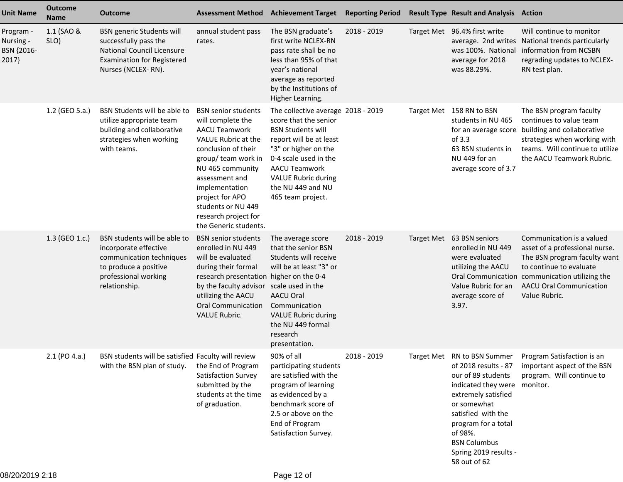| <b>Unit Name</b>                              | <b>Outcome</b><br><b>Name</b> | <b>Outcome</b>                                                                                                                                            | <b>Assessment Method</b>                                                                                                                                                                                                                                                                       | <b>Achievement Target</b>                                                                                                                                                                                                                                           | <b>Reporting Period</b> | <b>Result Type Result and Analysis Action</b>                                                                                                                                                                                                                  |                                                                                                                                                                                                                             |
|-----------------------------------------------|-------------------------------|-----------------------------------------------------------------------------------------------------------------------------------------------------------|------------------------------------------------------------------------------------------------------------------------------------------------------------------------------------------------------------------------------------------------------------------------------------------------|---------------------------------------------------------------------------------------------------------------------------------------------------------------------------------------------------------------------------------------------------------------------|-------------------------|----------------------------------------------------------------------------------------------------------------------------------------------------------------------------------------------------------------------------------------------------------------|-----------------------------------------------------------------------------------------------------------------------------------------------------------------------------------------------------------------------------|
| Program -<br>Nursing -<br>BSN {2016-<br>2017} | 1.1 (SAO &<br>SLO)            | <b>BSN</b> generic Students will<br>successfully pass the<br><b>National Council Licensure</b><br><b>Examination for Registered</b><br>Nurses (NCLEX-RN). | annual student pass<br>rates.                                                                                                                                                                                                                                                                  | The BSN graduate's<br>first write NCLEX-RN<br>pass rate shall be no<br>less than 95% of that<br>year's national<br>average as reported<br>by the Institutions of<br>Higher Learning.                                                                                | 2018 - 2019             | Target Met 96.4% first write<br>was 100%. National<br>average for 2018<br>was 88.29%.                                                                                                                                                                          | Will continue to monitor<br>average. 2nd writes National trends particularly<br>information from NCSBN<br>regrading updates to NCLEX-<br>RN test plan.                                                                      |
|                                               | 1.2 (GEO 5.a.)                | BSN Students will be able to<br>utilize appropriate team<br>building and collaborative<br>strategies when working<br>with teams.                          | <b>BSN</b> senior students<br>will complete the<br><b>AACU Teamwork</b><br>VALUE Rubric at the<br>conclusion of their<br>group/ team work in<br>NU 465 community<br>assessment and<br>implementation<br>project for APO<br>students or NU 449<br>research project for<br>the Generic students. | The collective average 2018 - 2019<br>score that the senior<br><b>BSN Students will</b><br>report will be at least<br>"3" or higher on the<br>0-4 scale used in the<br><b>AACU Teamwork</b><br><b>VALUE Rubric during</b><br>the NU 449 and NU<br>465 team project. |                         | Target Met 158 RN to BSN<br>students in NU 465<br>of $3.3$<br>63 BSN students in<br>NU 449 for an<br>average score of 3.7                                                                                                                                      | The BSN program faculty<br>continues to value team<br>for an average score building and collaborative<br>strategies when working with<br>teams. Will continue to utilize<br>the AACU Teamwork Rubric.                       |
|                                               | 1.3 (GEO 1.c.)                | BSN students will be able to<br>incorporate effective<br>communication techniques<br>to produce a positive<br>professional working<br>relationship.       | <b>BSN</b> senior students<br>enrolled in NU 449<br>will be evaluated<br>during their formal<br>research presentation higher on the 0-4<br>by the faculty advisor<br>utilizing the AACU<br><b>Oral Communication</b><br><b>VALUE Rubric.</b>                                                   | The average score<br>that the senior BSN<br>Students will receive<br>will be at least "3" or<br>scale used in the<br><b>AACU Oral</b><br>Communication<br><b>VALUE Rubric during</b><br>the NU 449 formal<br>research<br>presentation.                              | 2018 - 2019             | Target Met 63 BSN seniors<br>enrolled in NU 449<br>were evaluated<br>utilizing the AACU<br>Value Rubric for an<br>average score of<br>3.97.                                                                                                                    | Communication is a valued<br>asset of a professional nurse.<br>The BSN program faculty want<br>to continue to evaluate<br>Oral Communication communication utilizing the<br><b>AACU Oral Communication</b><br>Value Rubric. |
|                                               | $2.1$ (PO 4.a.)               | BSN students will be satisfied Faculty will review<br>with the BSN plan of study.                                                                         | the End of Program<br>Satisfaction Survey<br>submitted by the<br>students at the time<br>of graduation.                                                                                                                                                                                        | 90% of all<br>participating students<br>are satisfied with the<br>program of learning<br>as evidenced by a<br>benchmark score of<br>2.5 or above on the<br>End of Program<br>Satisfaction Survey.                                                                   | 2018 - 2019             | Target Met RN to BSN Summer<br>of 2018 results - 87<br>our of 89 students<br>indicated they were<br>extremely satisfied<br>or somewhat<br>satisfied with the<br>program for a total<br>of 98%.<br><b>BSN Columbus</b><br>Spring 2019 results -<br>58 out of 62 | Program Satisfaction is an<br>important aspect of the BSN<br>program. Will continue to<br>monitor.                                                                                                                          |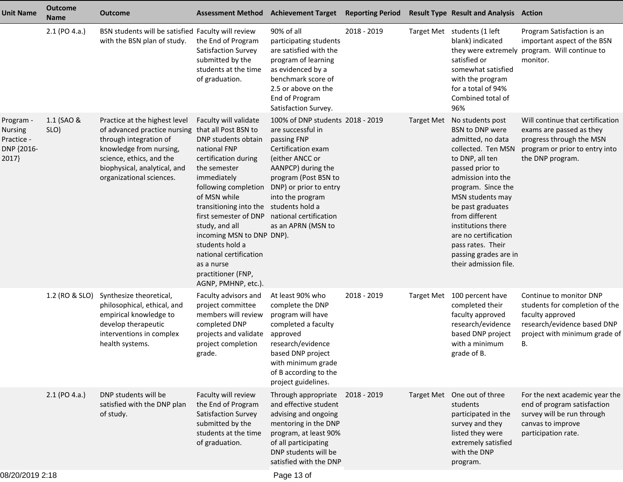| <b>Unit Name</b>                                          | <b>Outcome</b><br><b>Name</b> | <b>Outcome</b>                                                                                                                                                                                             |                                                                                                                                                                                                                                                                                                                                                                                                                                      | <b>Assessment Method Achievement Target</b>                                                                                                                                                                                     | <b>Reporting Period</b> |                   | <b>Result Type Result and Analysis Action</b>                                                                                                                                                                                                                                                                                                    |                                                                                                                                                     |
|-----------------------------------------------------------|-------------------------------|------------------------------------------------------------------------------------------------------------------------------------------------------------------------------------------------------------|--------------------------------------------------------------------------------------------------------------------------------------------------------------------------------------------------------------------------------------------------------------------------------------------------------------------------------------------------------------------------------------------------------------------------------------|---------------------------------------------------------------------------------------------------------------------------------------------------------------------------------------------------------------------------------|-------------------------|-------------------|--------------------------------------------------------------------------------------------------------------------------------------------------------------------------------------------------------------------------------------------------------------------------------------------------------------------------------------------------|-----------------------------------------------------------------------------------------------------------------------------------------------------|
|                                                           | 2.1 (PO 4.a.)                 | BSN students will be satisfied Faculty will review<br>with the BSN plan of study.                                                                                                                          | the End of Program<br><b>Satisfaction Survey</b><br>submitted by the<br>students at the time<br>of graduation.                                                                                                                                                                                                                                                                                                                       | 90% of all<br>participating students<br>are satisfied with the<br>program of learning<br>as evidenced by a<br>benchmark score of<br>2.5 or above on the<br>End of Program<br>Satisfaction Survey.                               | 2018 - 2019             |                   | Target Met students (1 left<br>blank) indicated<br>satisfied or<br>somewhat satisfied<br>with the program<br>for a total of 94%<br>Combined total of<br>96%                                                                                                                                                                                      | Program Satisfaction is an<br>important aspect of the BSN<br>they were extremely program. Will continue to<br>monitor.                              |
| Program -<br>Nursing<br>Practice -<br>DNP {2016-<br>2017} | 1.1 (SAO &<br>SLO)            | Practice at the highest level<br>of advanced practice nursing<br>through integration of<br>knowledge from nursing,<br>science, ethics, and the<br>biophysical, analytical, and<br>organizational sciences. | Faculty will validate<br>that all Post BSN to<br>DNP students obtain<br>national FNP<br>certification during<br>the semester<br>immediately<br>following completion<br>of MSN while<br>transitioning into the students hold a<br>first semester of DNP national certification<br>study, and all<br>incoming MSN to DNP DNP).<br>students hold a<br>national certification<br>as a nurse<br>practitioner (FNP,<br>AGNP, PMHNP, etc.). | 100% of DNP students 2018 - 2019<br>are successful in<br>passing FNP<br>Certification exam<br>(either ANCC or<br>AANPCP) during the<br>program (Post BSN to<br>DNP) or prior to entry<br>into the program<br>as an APRN (MSN to |                         | <b>Target Met</b> | No students post<br>BSN to DNP were<br>admitted, no data<br>collected. Ten MSN<br>to DNP, all ten<br>passed prior to<br>admission into the<br>program. Since the<br>MSN students may<br>be past graduates<br>from different<br>institutions there<br>are no certification<br>pass rates. Their<br>passing grades are in<br>their admission file. | Will continue that certification<br>exams are passed as they<br>progress through the MSN<br>program or prior to entry into<br>the DNP program.      |
|                                                           | 1.2 (RO & SLO)                | Synthesize theoretical,<br>philosophical, ethical, and<br>empirical knowledge to<br>develop therapeutic<br>interventions in complex<br>health systems.                                                     | Faculty advisors and<br>project committee<br>members will review<br>completed DNP<br>projects and validate<br>project completion<br>grade.                                                                                                                                                                                                                                                                                           | At least 90% who<br>complete the DNP<br>program will have<br>completed a faculty<br>approved<br>research/evidence<br>based DNP project<br>with minimum grade<br>of B according to the<br>project guidelines.                    | 2018 - 2019             |                   | Target Met 100 percent have<br>completed their<br>faculty approved<br>research/evidence<br>based DNP project<br>with a minimum<br>grade of B.                                                                                                                                                                                                    | Continue to monitor DNP<br>students for completion of the<br>faculty approved<br>research/evidence based DNP<br>project with minimum grade of<br>В. |
|                                                           | $2.1$ (PO 4.a.)               | DNP students will be<br>satisfied with the DNP plan<br>of study.                                                                                                                                           | Faculty will review<br>the End of Program<br>Satisfaction Survey<br>submitted by the<br>students at the time<br>of graduation.                                                                                                                                                                                                                                                                                                       | Through appropriate<br>and effective student<br>advising and ongoing<br>mentoring in the DNP<br>program, at least 90%<br>of all participating<br>DNP students will be<br>satisfied with the DNP                                 | 2018 - 2019             |                   | Target Met One out of three<br>students<br>participated in the<br>survey and they<br>listed they were<br>extremely satisfied<br>with the DNP<br>program.                                                                                                                                                                                         | For the next academic year the<br>end of program satisfaction<br>survey will be run through<br>canvas to improve<br>participation rate.             |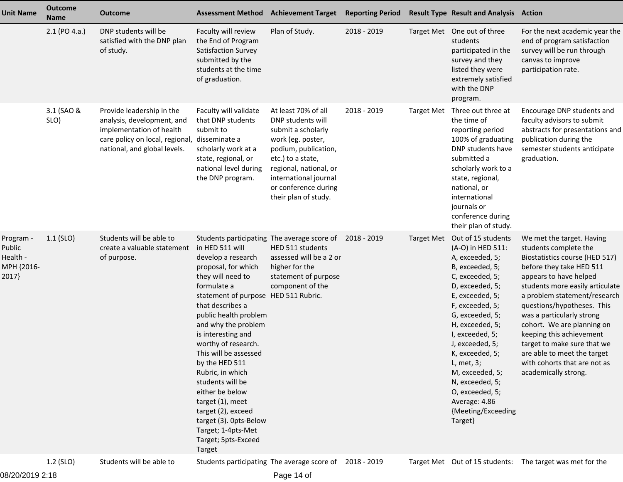| <b>Unit Name</b>                                       | <b>Outcome</b><br><b>Name</b> | <b>Outcome</b>                                                                                                                                         |                                                                                                                                                                                                                                                                                                                                                                                                                                                                                            | <b>Assessment Method Achievement Target</b>                                                                                                                                                                                         | <b>Reporting Period</b> |                   | <b>Result Type Result and Analysis Action</b>                                                                                                                                                                                                                                                                                                                                                |                                                                                                                                                                                                                                                                                                                                                                                                                                                          |
|--------------------------------------------------------|-------------------------------|--------------------------------------------------------------------------------------------------------------------------------------------------------|--------------------------------------------------------------------------------------------------------------------------------------------------------------------------------------------------------------------------------------------------------------------------------------------------------------------------------------------------------------------------------------------------------------------------------------------------------------------------------------------|-------------------------------------------------------------------------------------------------------------------------------------------------------------------------------------------------------------------------------------|-------------------------|-------------------|----------------------------------------------------------------------------------------------------------------------------------------------------------------------------------------------------------------------------------------------------------------------------------------------------------------------------------------------------------------------------------------------|----------------------------------------------------------------------------------------------------------------------------------------------------------------------------------------------------------------------------------------------------------------------------------------------------------------------------------------------------------------------------------------------------------------------------------------------------------|
|                                                        | 2.1 (PO 4.a.)                 | DNP students will be<br>satisfied with the DNP plan<br>of study.                                                                                       | Faculty will review<br>the End of Program<br>Satisfaction Survey<br>submitted by the<br>students at the time<br>of graduation.                                                                                                                                                                                                                                                                                                                                                             | Plan of Study.                                                                                                                                                                                                                      | 2018 - 2019             |                   | Target Met One out of three<br>students<br>participated in the<br>survey and they<br>listed they were<br>extremely satisfied<br>with the DNP<br>program.                                                                                                                                                                                                                                     | For the next academic year the<br>end of program satisfaction<br>survey will be run through<br>canvas to improve<br>participation rate.                                                                                                                                                                                                                                                                                                                  |
|                                                        | 3.1 (SAO &<br>SLO)            | Provide leadership in the<br>analysis, development, and<br>implementation of health<br>care policy on local, regional,<br>national, and global levels. | Faculty will validate<br>that DNP students<br>submit to<br>disseminate a<br>scholarly work at a<br>state, regional, or<br>national level during<br>the DNP program.                                                                                                                                                                                                                                                                                                                        | At least 70% of all<br>DNP students will<br>submit a scholarly<br>work (eg. poster,<br>podium, publication,<br>etc.) to a state,<br>regional, national, or<br>international journal<br>or conference during<br>their plan of study. | 2018 - 2019             | <b>Target Met</b> | Three out three at<br>the time of<br>reporting period<br>100% of graduating<br>DNP students have<br>submitted a<br>scholarly work to a<br>state, regional,<br>national, or<br>international<br>journals or<br>conference during<br>their plan of study.                                                                                                                                      | Encourage DNP students and<br>faculty advisors to submit<br>abstracts for presentations and<br>publication during the<br>semester students anticipate<br>graduation.                                                                                                                                                                                                                                                                                     |
| Program -<br>Public<br>Health -<br>MPH {2016-<br>2017} | $1.1$ (SLO)                   | Students will be able to<br>create a valuable statement<br>of purpose.                                                                                 | in HED 511 will<br>develop a research<br>proposal, for which<br>they will need to<br>formulate a<br>statement of purpose HED 511 Rubric.<br>that describes a<br>public health problem<br>and why the problem<br>is interesting and<br>worthy of research.<br>This will be assessed<br>by the HED 511<br>Rubric, in which<br>students will be<br>either be below<br>target (1), meet<br>target (2), exceed<br>target (3). Opts-Below<br>Target; 1-4pts-Met<br>Target; 5pts-Exceed<br>Target | Students participating The average score of<br>HED 511 students<br>assessed will be a 2 or<br>higher for the<br>statement of purpose<br>component of the                                                                            | 2018 - 2019             |                   | Target Met Out of 15 students<br>(A-O) in HED 511:<br>A, exceeded, 5;<br>B, exceeded, 5;<br>C, exceeded, 5;<br>D, exceeded, 5;<br>E, exceeded, 5;<br>F, exceeded, 5;<br>G, exceeded, 5;<br>H, exceeded, 5;<br>I, exceeded, 5;<br>J, exceeded, 5;<br>K, exceeded, 5;<br>L, met, 3;<br>M, exceeded, 5;<br>N, exceeded, 5;<br>O, exceeded, 5;<br>Average: 4.86<br>{Meeting/Exceeding<br>Target} | We met the target. Having<br>students complete the<br>Biostatistics course (HED 517)<br>before they take HED 511<br>appears to have helped<br>students more easily articulate<br>a problem statement/research<br>questions/hypotheses. This<br>was a particularly strong<br>cohort. We are planning on<br>keeping this achievement<br>target to make sure that we<br>are able to meet the target<br>with cohorts that are not as<br>academically strong. |
|                                                        | 1.2 (SLO)                     | Students will be able to                                                                                                                               |                                                                                                                                                                                                                                                                                                                                                                                                                                                                                            | Students participating The average score of 2018 - 2019                                                                                                                                                                             |                         |                   |                                                                                                                                                                                                                                                                                                                                                                                              | Target Met Out of 15 students: The target was met for the                                                                                                                                                                                                                                                                                                                                                                                                |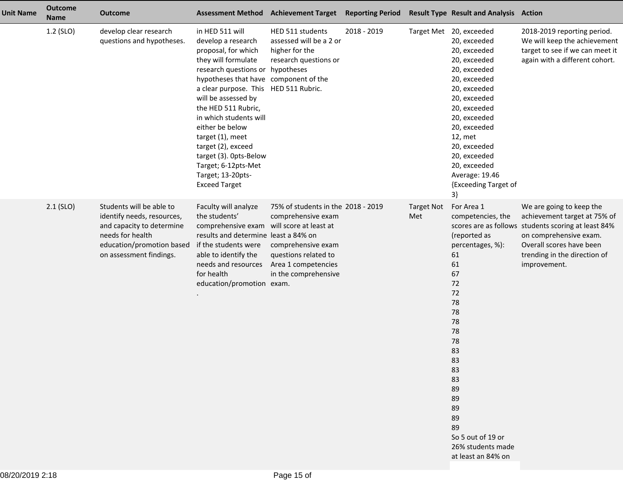| <b>Unit Name</b> | <b>Outcome</b><br><b>Name</b> | <b>Outcome</b>                                                                                                                                                  | <b>Assessment Method</b>                                                                                                                                                                                                                                                                                                                                                                                                                     | <b>Achievement Target</b>                                                                                                                                                       | <b>Reporting Period</b> |                          | <b>Result Type Result and Analysis Action</b>                                                                                                                                                                                                                                                         |                                                                                                                                                                                                                       |
|------------------|-------------------------------|-----------------------------------------------------------------------------------------------------------------------------------------------------------------|----------------------------------------------------------------------------------------------------------------------------------------------------------------------------------------------------------------------------------------------------------------------------------------------------------------------------------------------------------------------------------------------------------------------------------------------|---------------------------------------------------------------------------------------------------------------------------------------------------------------------------------|-------------------------|--------------------------|-------------------------------------------------------------------------------------------------------------------------------------------------------------------------------------------------------------------------------------------------------------------------------------------------------|-----------------------------------------------------------------------------------------------------------------------------------------------------------------------------------------------------------------------|
|                  | 1.2 (SLO)                     | develop clear research<br>questions and hypotheses.                                                                                                             | in HED 511 will<br>develop a research<br>proposal, for which<br>they will formulate<br>research questions or hypotheses<br>hypotheses that have component of the<br>a clear purpose. This HED 511 Rubric.<br>will be assessed by<br>the HED 511 Rubric,<br>in which students will<br>either be below<br>target (1), meet<br>target (2), exceed<br>target (3). Opts-Below<br>Target; 6-12pts-Met<br>Target; 13-20pts-<br><b>Exceed Target</b> | HED 511 students<br>assessed will be a 2 or<br>higher for the<br>research questions or                                                                                          | 2018 - 2019             |                          | Target Met 20, exceeded<br>20, exceeded<br>20, exceeded<br>20, exceeded<br>20, exceeded<br>20, exceeded<br>20, exceeded<br>20, exceeded<br>20, exceeded<br>20, exceeded<br>20, exceeded<br>12, met<br>20, exceeded<br>20, exceeded<br>20, exceeded<br>Average: 19.46<br>{Exceeding Target of<br>$3\}$ | 2018-2019 reporting period.<br>We will keep the achievement<br>target to see if we can meet it<br>again with a different cohort.                                                                                      |
|                  | $2.1$ (SLO)                   | Students will be able to<br>identify needs, resources,<br>and capacity to determine<br>needs for health<br>education/promotion based<br>on assessment findings. | Faculty will analyze<br>the students'<br>comprehensive exam<br>results and determine least a 84% on<br>if the students were<br>able to identify the<br>needs and resources<br>for health<br>education/promotion exam.                                                                                                                                                                                                                        | 75% of students in the 2018 - 2019<br>comprehensive exam<br>will score at least at<br>comprehensive exam<br>questions related to<br>Area 1 competencies<br>in the comprehensive |                         | <b>Target Not</b><br>Met | For Area 1<br>competencies, the<br>(reported as<br>percentages, %):<br>61<br>61<br>67<br>72<br>72<br>78<br>78<br>78<br>78<br>78<br>83<br>83<br>83<br>83<br>89<br>89<br>89<br>89<br>89<br>So 5 out of 19 or<br>26% students made<br>at least an 84% on                                                 | We are going to keep the<br>achievement target at 75% of<br>scores are as follows students scoring at least 84%<br>on comprehensive exam.<br>Overall scores have been<br>trending in the direction of<br>improvement. |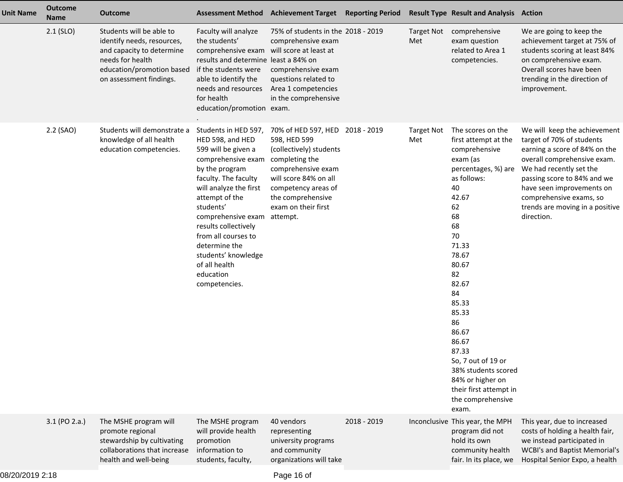| <b>Unit Name</b> | <b>Outcome</b><br><b>Name</b> | <b>Outcome</b>                                                                                                                                                  |                                                                                                                                                                                                                                                                                                                                                      | Assessment Method Achievement Target Reporting Period                                                                                                                                                                      |               |                          | <b>Result Type Result and Analysis Action</b>                                                                                                                                                                                                                                                                                                                                   |                                                                                                                                                                                                                                                                                              |
|------------------|-------------------------------|-----------------------------------------------------------------------------------------------------------------------------------------------------------------|------------------------------------------------------------------------------------------------------------------------------------------------------------------------------------------------------------------------------------------------------------------------------------------------------------------------------------------------------|----------------------------------------------------------------------------------------------------------------------------------------------------------------------------------------------------------------------------|---------------|--------------------------|---------------------------------------------------------------------------------------------------------------------------------------------------------------------------------------------------------------------------------------------------------------------------------------------------------------------------------------------------------------------------------|----------------------------------------------------------------------------------------------------------------------------------------------------------------------------------------------------------------------------------------------------------------------------------------------|
|                  | $2.1$ (SLO)                   | Students will be able to<br>identify needs, resources,<br>and capacity to determine<br>needs for health<br>education/promotion based<br>on assessment findings. | Faculty will analyze<br>the students'<br>comprehensive exam will score at least at<br>results and determine least a 84% on<br>if the students were<br>able to identify the<br>needs and resources<br>for health<br>education/promotion exam.                                                                                                         | 75% of students in the 2018 - 2019<br>comprehensive exam<br>comprehensive exam<br>questions related to<br>Area 1 competencies<br>in the comprehensive                                                                      |               | <b>Target Not</b><br>Met | comprehensive<br>exam question<br>related to Area 1<br>competencies.                                                                                                                                                                                                                                                                                                            | We are going to keep the<br>achievement target at 75% of<br>students scoring at least 84%<br>on comprehensive exam.<br>Overall scores have been<br>trending in the direction of<br>improvement.                                                                                              |
|                  | 2.2 (SAO)                     | Students will demonstrate a<br>knowledge of all health<br>education competencies.                                                                               | Students in HED 597,<br>HED 598, and HED<br>599 will be given a<br>comprehensive exam<br>by the program<br>faculty. The faculty<br>will analyze the first<br>attempt of the<br>students'<br>comprehensive exam<br>results collectively<br>from all courses to<br>determine the<br>students' knowledge<br>of all health<br>education<br>competencies. | 70% of HED 597, HED 2018 - 2019<br>598, HED 599<br>(collectively) students<br>completing the<br>comprehensive exam<br>will score 84% on all<br>competency areas of<br>the comprehensive<br>exam on their first<br>attempt. |               | <b>Target Not</b><br>Met | The scores on the<br>first attempt at the<br>comprehensive<br>exam (as<br>percentages, %) are<br>as follows:<br>40<br>42.67<br>62<br>68<br>68<br>70<br>71.33<br>78.67<br>80.67<br>82<br>82.67<br>84<br>85.33<br>85.33<br>86<br>86.67<br>86.67<br>87.33<br>So, 7 out of 19 or<br>38% students scored<br>84% or higher on<br>their first attempt in<br>the comprehensive<br>exam. | We will keep the achievement<br>target of 70% of students<br>earning a score of 84% on the<br>overall comprehensive exam.<br>We had recently set the<br>passing score to 84% and we<br>have seen improvements on<br>comprehensive exams, so<br>trends are moving in a positive<br>direction. |
|                  | $3.1$ (PO 2.a.)               | The MSHE program will<br>promote regional<br>stewardship by cultivating<br>collaborations that increase<br>health and well-being                                | The MSHE program<br>will provide health<br>promotion<br>information to<br>students, faculty,                                                                                                                                                                                                                                                         | 40 vendors<br>representing<br>university programs<br>and community<br>organizations will take                                                                                                                              | $2018 - 2019$ |                          | Inconclusive This year, the MPH<br>program did not<br>hold its own<br>community health<br>fair. In its place, we                                                                                                                                                                                                                                                                | This year, due to increased<br>costs of holding a health fair,<br>we instead participated in<br><b>WCBI's and Baptist Memorial's</b><br>Hospital Senior Expo, a health                                                                                                                       |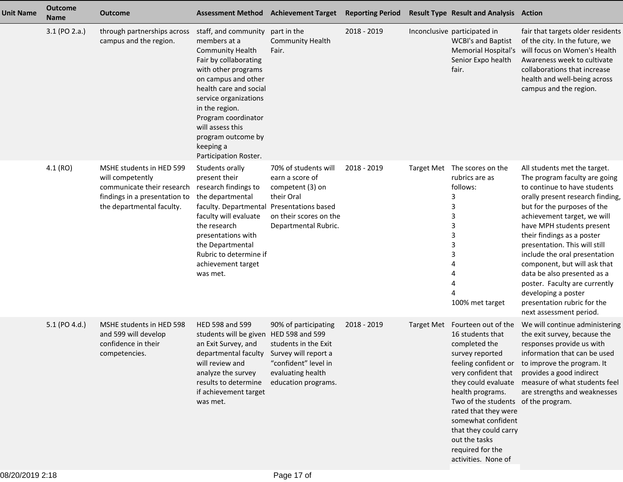| <b>Unit Name</b> | <b>Outcome</b><br><b>Name</b> | <b>Outcome</b>                                                                                                                           |                                                                                                                                                                                                                                                                                                                    | Assessment Method Achievement Target Reporting Period                                                                                    |             |                   | <b>Result Type Result and Analysis Action</b>                                                                                                                                                                                                                                                                           |                                                                                                                                                                                                                                                                                                                                                                                                                                                                                                               |
|------------------|-------------------------------|------------------------------------------------------------------------------------------------------------------------------------------|--------------------------------------------------------------------------------------------------------------------------------------------------------------------------------------------------------------------------------------------------------------------------------------------------------------------|------------------------------------------------------------------------------------------------------------------------------------------|-------------|-------------------|-------------------------------------------------------------------------------------------------------------------------------------------------------------------------------------------------------------------------------------------------------------------------------------------------------------------------|---------------------------------------------------------------------------------------------------------------------------------------------------------------------------------------------------------------------------------------------------------------------------------------------------------------------------------------------------------------------------------------------------------------------------------------------------------------------------------------------------------------|
|                  | 3.1 (PO 2.a.)                 | through partnerships across<br>campus and the region.                                                                                    | staff, and community<br>members at a<br><b>Community Health</b><br>Fair by collaborating<br>with other programs<br>on campus and other<br>health care and social<br>service organizations<br>in the region.<br>Program coordinator<br>will assess this<br>program outcome by<br>keeping a<br>Participation Roster. | part in the<br><b>Community Health</b><br>Fair.                                                                                          | 2018 - 2019 |                   | Inconclusive participated in<br><b>WCBI's and Baptist</b><br><b>Memorial Hospital's</b><br>Senior Expo health<br>fair.                                                                                                                                                                                                  | fair that targets older residents<br>of the city. In the future, we<br>will focus on Women's Health<br>Awareness week to cultivate<br>collaborations that increase<br>health and well-being across<br>campus and the region.                                                                                                                                                                                                                                                                                  |
|                  | 4.1(RO)                       | MSHE students in HED 599<br>will competently<br>communicate their research<br>findings in a presentation to<br>the departmental faculty. | Students orally<br>present their<br>research findings to<br>the departmental<br>faculty. Departmental Presentations based<br>faculty will evaluate<br>the research<br>presentations with<br>the Departmental<br>Rubric to determine if<br>achievement target<br>was met.                                           | 70% of students will<br>earn a score of<br>competent (3) on<br>their Oral<br>on their scores on the<br>Departmental Rubric.              | 2018 - 2019 | <b>Target Met</b> | The scores on the<br>rubrics are as<br>follows:<br>3<br>3<br>3<br>3<br>3<br>3<br>3<br>100% met target                                                                                                                                                                                                                   | All students met the target.<br>The program faculty are going<br>to continue to have students<br>orally present research finding,<br>but for the purposes of the<br>achievement target, we will<br>have MPH students present<br>their findings as a poster<br>presentation. This will still<br>include the oral presentation<br>component, but will ask that<br>data be also presented as a<br>poster. Faculty are currently<br>developing a poster<br>presentation rubric for the<br>next assessment period. |
|                  | 5.1 (PO 4.d.)                 | MSHE students in HED 598<br>and 599 will develop<br>confidence in their<br>competencies.                                                 | HED 598 and 599<br>students will be given HED 598 and 599<br>an Exit Survey, and<br>departmental faculty<br>will review and<br>analyze the survey<br>results to determine<br>if achievement target<br>was met.                                                                                                     | 90% of participating<br>students in the Exit<br>Survey will report a<br>"confident" level in<br>evaluating health<br>education programs. | 2018 - 2019 | <b>Target Met</b> | Fourteen out of the<br>16 students that<br>completed the<br>survey reported<br>very confident that<br>they could evaluate<br>health programs.<br>Two of the students of the program.<br>rated that they were<br>somewhat confident<br>that they could carry<br>out the tasks<br>required for the<br>activities. None of | We will continue administering<br>the exit survey, because the<br>responses provide us with<br>information that can be used<br>feeling confident or to improve the program. It<br>provides a good indirect<br>measure of what students feel<br>are strengths and weaknesses                                                                                                                                                                                                                                   |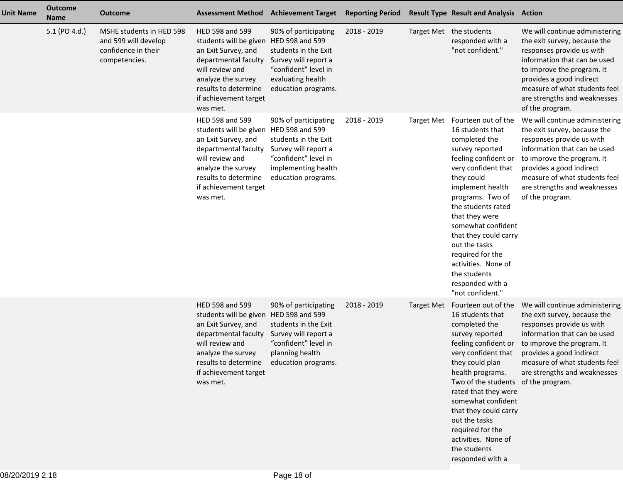| <b>Unit Name</b> | <b>Outcome</b><br><b>Name</b> | <b>Outcome</b>                                                                           | <b>Assessment Method</b>                                                                                                                                                                                       | <b>Achievement Target</b>                                                                                                                  | <b>Reporting Period</b> | <b>Result Type Result and Analysis Action</b>                                                                                                                                                                                                                                                                                                                                                          |                                                                                                                                                                                                                                                                           |
|------------------|-------------------------------|------------------------------------------------------------------------------------------|----------------------------------------------------------------------------------------------------------------------------------------------------------------------------------------------------------------|--------------------------------------------------------------------------------------------------------------------------------------------|-------------------------|--------------------------------------------------------------------------------------------------------------------------------------------------------------------------------------------------------------------------------------------------------------------------------------------------------------------------------------------------------------------------------------------------------|---------------------------------------------------------------------------------------------------------------------------------------------------------------------------------------------------------------------------------------------------------------------------|
|                  | 5.1 (PO 4.d.)                 | MSHE students in HED 598<br>and 599 will develop<br>confidence in their<br>competencies. | HED 598 and 599<br>students will be given HED 598 and 599<br>an Exit Survey, and<br>departmental faculty<br>will review and<br>analyze the survey<br>results to determine<br>if achievement target<br>was met. | 90% of participating<br>students in the Exit<br>Survey will report a<br>"confident" level in<br>evaluating health<br>education programs.   | 2018 - 2019             | Target Met the students<br>responded with a<br>"not confident."                                                                                                                                                                                                                                                                                                                                        | We will continue administering<br>the exit survey, because the<br>responses provide us with<br>information that can be used<br>to improve the program. It<br>provides a good indirect<br>measure of what students feel<br>are strengths and weaknesses<br>of the program. |
|                  |                               |                                                                                          | HED 598 and 599<br>students will be given HED 598 and 599<br>an Exit Survey, and<br>departmental faculty<br>will review and<br>analyze the survey<br>results to determine<br>if achievement target<br>was met. | 90% of participating<br>students in the Exit<br>Survey will report a<br>"confident" level in<br>implementing health<br>education programs. | 2018 - 2019             | Target Met Fourteen out of the<br>16 students that<br>completed the<br>survey reported<br>feeling confident or<br>very confident that<br>they could<br>implement health<br>programs. Two of<br>the students rated<br>that they were<br>somewhat confident<br>that they could carry<br>out the tasks<br>required for the<br>activities. None of<br>the students<br>responded with a<br>"not confident." | We will continue administering<br>the exit survey, because the<br>responses provide us with<br>information that can be used<br>to improve the program. It<br>provides a good indirect<br>measure of what students feel<br>are strengths and weaknesses<br>of the program. |
|                  |                               |                                                                                          | HED 598 and 599<br>students will be given HED 598 and 599<br>an Exit Survey, and<br>departmental faculty<br>will review and<br>analyze the survey<br>results to determine<br>if achievement target<br>was met. | 90% of participating<br>students in the Exit<br>Survey will report a<br>"confident" level in<br>planning health<br>education programs.     | 2018 - 2019             | Target Met Fourteen out of the<br>16 students that<br>completed the<br>survey reported<br>feeling confident or<br>very confident that<br>they could plan<br>health programs.<br>Two of the students of the program.<br>rated that they were<br>somewhat confident<br>that they could carry<br>out the tasks<br>required for the<br>activities. None of<br>the students<br>responded with a             | We will continue administering<br>the exit survey, because the<br>responses provide us with<br>information that can be used<br>to improve the program. It<br>provides a good indirect<br>measure of what students feel<br>are strengths and weaknesses                    |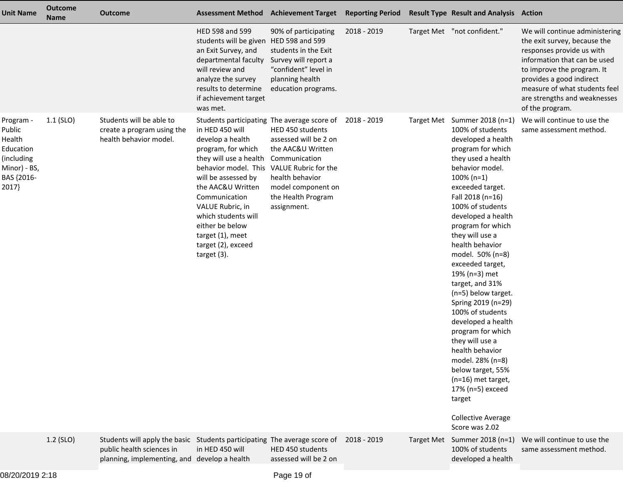| <b>Unit Name</b>                                                                                | <b>Outcome</b><br><b>Name</b> | <b>Outcome</b>                                                                                                                                         | <b>Assessment Method</b>                                                                                                                                                                                                                                                                                                                                            | <b>Achievement Target</b>                                                                                                                                     | <b>Reporting Period</b> | <b>Result Type Result and Analysis Action</b>                                                                                                                                                                                                                                                                                                                                                                                                                                                                                                                                                                                                                                |                                                                                                                                                                                                                                                                           |
|-------------------------------------------------------------------------------------------------|-------------------------------|--------------------------------------------------------------------------------------------------------------------------------------------------------|---------------------------------------------------------------------------------------------------------------------------------------------------------------------------------------------------------------------------------------------------------------------------------------------------------------------------------------------------------------------|---------------------------------------------------------------------------------------------------------------------------------------------------------------|-------------------------|------------------------------------------------------------------------------------------------------------------------------------------------------------------------------------------------------------------------------------------------------------------------------------------------------------------------------------------------------------------------------------------------------------------------------------------------------------------------------------------------------------------------------------------------------------------------------------------------------------------------------------------------------------------------------|---------------------------------------------------------------------------------------------------------------------------------------------------------------------------------------------------------------------------------------------------------------------------|
|                                                                                                 |                               |                                                                                                                                                        | HED 598 and 599<br>students will be given HED 598 and 599<br>an Exit Survey, and<br>departmental faculty<br>will review and<br>analyze the survey<br>results to determine<br>if achievement target<br>was met.                                                                                                                                                      | 90% of participating<br>students in the Exit<br>Survey will report a<br>"confident" level in<br>planning health<br>education programs.                        | 2018 - 2019             | Target Met "not confident."                                                                                                                                                                                                                                                                                                                                                                                                                                                                                                                                                                                                                                                  | We will continue administering<br>the exit survey, because the<br>responses provide us with<br>information that can be used<br>to improve the program. It<br>provides a good indirect<br>measure of what students feel<br>are strengths and weaknesses<br>of the program. |
| Program -<br>Public<br>Health<br>Education<br>(including<br>Minor) - BS,<br>BAS {2016-<br>2017} | $1.1$ (SLO)                   | Students will be able to<br>create a program using the<br>health behavior model.                                                                       | Students participating The average score of<br>in HED 450 will<br>develop a health<br>program, for which<br>they will use a health<br>behavior model. This VALUE Rubric for the<br>will be assessed by<br>the AAC&U Written<br>Communication<br>VALUE Rubric, in<br>which students will<br>either be below<br>target (1), meet<br>target (2), exceed<br>target (3). | HED 450 students<br>assessed will be 2 on<br>the AAC&U Written<br>Communication<br>health behavior<br>model component on<br>the Health Program<br>assignment. | 2018 - 2019             | Target Met Summer 2018 (n=1)<br>100% of students<br>developed a health<br>program for which<br>they used a health<br>behavior model.<br>$100\% (n=1)$<br>exceeded target.<br>Fall 2018 (n=16)<br>100% of students<br>developed a health<br>program for which<br>they will use a<br>health behavior<br>model. 50% (n=8)<br>exceeded target,<br>19% (n=3) met<br>target, and 31%<br>(n=5) below target.<br>Spring 2019 (n=29)<br>100% of students<br>developed a health<br>program for which<br>they will use a<br>health behavior<br>model. 28% (n=8)<br>below target, 55%<br>(n=16) met target,<br>17% (n=5) exceed<br>target<br><b>Collective Average</b><br>Score was 2.02 | We will continue to use the<br>same assessment method.                                                                                                                                                                                                                    |
|                                                                                                 | 1.2 (SLO)                     | Students will apply the basic Students participating The average score of<br>public health sciences in<br>planning, implementing, and develop a health | in HED 450 will                                                                                                                                                                                                                                                                                                                                                     | HED 450 students<br>assessed will be 2 on                                                                                                                     | 2018 - 2019             | Target Met Summer 2018 (n=1)<br>100% of students<br>developed a health                                                                                                                                                                                                                                                                                                                                                                                                                                                                                                                                                                                                       | We will continue to use the<br>same assessment method.                                                                                                                                                                                                                    |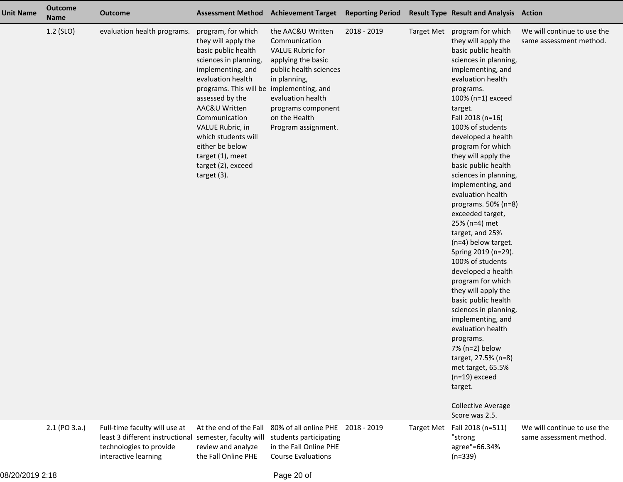| <b>Unit Name</b> | <b>Outcome</b><br>Name | <b>Outcome</b>                                                                                                      |                                                                                                                                                                                                                                                                                                                                                                | Assessment Method Achievement Target Reporting Period Result Type Result and Analysis Action                                                                                                                     |             |                   |                                                                                                                                                                                                                                                                                                                                                                                                                                                                                                                                                                                                                                                                                                                                                                                                                                                                        |                                                        |
|------------------|------------------------|---------------------------------------------------------------------------------------------------------------------|----------------------------------------------------------------------------------------------------------------------------------------------------------------------------------------------------------------------------------------------------------------------------------------------------------------------------------------------------------------|------------------------------------------------------------------------------------------------------------------------------------------------------------------------------------------------------------------|-------------|-------------------|------------------------------------------------------------------------------------------------------------------------------------------------------------------------------------------------------------------------------------------------------------------------------------------------------------------------------------------------------------------------------------------------------------------------------------------------------------------------------------------------------------------------------------------------------------------------------------------------------------------------------------------------------------------------------------------------------------------------------------------------------------------------------------------------------------------------------------------------------------------------|--------------------------------------------------------|
|                  | 1.2 (SLO)              | evaluation health programs.                                                                                         | program, for which<br>they will apply the<br>basic public health<br>sciences in planning,<br>implementing, and<br>evaluation health<br>programs. This will be implementing, and<br>assessed by the<br>AAC&U Written<br>Communication<br>VALUE Rubric, in<br>which students will<br>either be below<br>target (1), meet<br>target (2), exceed<br>target $(3)$ . | the AAC&U Written<br>Communication<br><b>VALUE Rubric for</b><br>applying the basic<br>public health sciences<br>in planning,<br>evaluation health<br>programs component<br>on the Health<br>Program assignment. | 2018 - 2019 |                   | Target Met program for which<br>they will apply the<br>basic public health<br>sciences in planning,<br>implementing, and<br>evaluation health<br>programs.<br>100% (n=1) exceed<br>target.<br>Fall 2018 (n=16)<br>100% of students<br>developed a health<br>program for which<br>they will apply the<br>basic public health<br>sciences in planning,<br>implementing, and<br>evaluation health<br>programs. $50\%$ (n=8)<br>exceeded target,<br>25% (n=4) met<br>target, and 25%<br>(n=4) below target.<br>Spring 2019 (n=29).<br>100% of students<br>developed a health<br>program for which<br>they will apply the<br>basic public health<br>sciences in planning,<br>implementing, and<br>evaluation health<br>programs.<br>7% (n=2) below<br>target, 27.5% (n=8)<br>met target, 65.5%<br>$(n=19)$ exceed<br>target.<br><b>Collective Average</b><br>Score was 2.5. | We will continue to use the<br>same assessment method. |
|                  | 2.1 (PO 3.a.)          | Full-time faculty will use at<br>least 3 different instructional<br>technologies to provide<br>interactive learning | At the end of the Fall<br>semester, faculty will<br>review and analyze<br>the Fall Online PHE                                                                                                                                                                                                                                                                  | 80% of all online PHE 2018 - 2019<br>students participating<br>in the Fall Online PHE<br><b>Course Evaluations</b>                                                                                               |             | <b>Target Met</b> | Fall 2018 (n=511)<br>"strong<br>agree"=66.34%<br>$(n=339)$                                                                                                                                                                                                                                                                                                                                                                                                                                                                                                                                                                                                                                                                                                                                                                                                             | We will continue to use the<br>same assessment method. |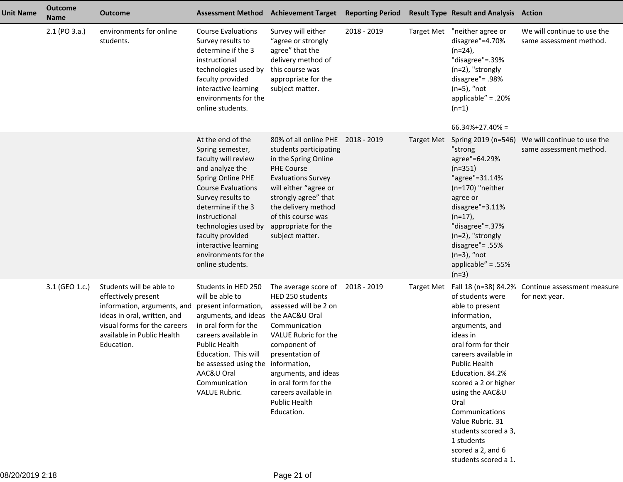| <b>Unit Name</b> | <b>Outcome</b><br><b>Name</b> | <b>Outcome</b>                                                                                                                                                                            | <b>Assessment Method Achievement Target</b>                                                                                                                                                                                                                                                                   |                                                                                                                                                                                                                                                                                    | <b>Reporting Period</b> |                   | <b>Result Type Result and Analysis Action</b>                                                                                                                                                                                                                                                                                                            |                                                                    |
|------------------|-------------------------------|-------------------------------------------------------------------------------------------------------------------------------------------------------------------------------------------|---------------------------------------------------------------------------------------------------------------------------------------------------------------------------------------------------------------------------------------------------------------------------------------------------------------|------------------------------------------------------------------------------------------------------------------------------------------------------------------------------------------------------------------------------------------------------------------------------------|-------------------------|-------------------|----------------------------------------------------------------------------------------------------------------------------------------------------------------------------------------------------------------------------------------------------------------------------------------------------------------------------------------------------------|--------------------------------------------------------------------|
|                  | $2.1$ (PO $3.a.$ )            | environments for online<br>students.                                                                                                                                                      | <b>Course Evaluations</b><br>Survey results to<br>determine if the 3<br>instructional<br>technologies used by<br>faculty provided<br>interactive learning<br>environments for the<br>online students.                                                                                                         | Survey will either<br>"agree or strongly<br>agree" that the<br>delivery method of<br>this course was<br>appropriate for the<br>subject matter.                                                                                                                                     | 2018 - 2019             | <b>Target Met</b> | "neither agree or<br>disagree"=4.70%<br>$(n=24)$ ,<br>"disagree"=.39%<br>(n=2), "strongly<br>disagree"= .98%<br>$(n=5)$ , "not<br>applicable" = $.20%$<br>$(n=1)$<br>$66.34\% + 27.40\% =$                                                                                                                                                               | We will continue to use the<br>same assessment method.             |
|                  |                               |                                                                                                                                                                                           | At the end of the<br>Spring semester,<br>faculty will review<br>and analyze the<br>Spring Online PHE<br><b>Course Evaluations</b><br>Survey results to<br>determine if the 3<br>instructional<br>technologies used by<br>faculty provided<br>interactive learning<br>environments for the<br>online students. | 80% of all online PHE 2018 - 2019<br>students participating<br>in the Spring Online<br><b>PHE Course</b><br><b>Evaluations Survey</b><br>will either "agree or<br>strongly agree" that<br>the delivery method<br>of this course was<br>appropriate for the<br>subject matter.      |                         | Target Met        | Spring 2019 (n=546)<br>"strong<br>agree"=64.29%<br>$(n=351)$<br>"agree"=31.14%<br>$(n=170)$ "neither<br>agree or<br>disagree"=3.11%<br>$(n=17)$ ,<br>"disagree"=.37%<br>$(n=2)$ , "strongly<br>disagree"= .55%<br>$(n=3)$ , "not<br>applicable" = $.55%$<br>$(n=3)$                                                                                      | We will continue to use the<br>same assessment method.             |
|                  | 3.1 (GEO 1.c.)                | Students will be able to<br>effectively present<br>information, arguments, and<br>ideas in oral, written, and<br>visual forms for the careers<br>available in Public Health<br>Education. | Students in HED 250<br>will be able to<br>present information,<br>arguments, and ideas<br>in oral form for the<br>careers available in<br>Public Health<br>Education. This will<br>be assessed using the information,<br>AAC&U Oral<br>Communication<br><b>VALUE Rubric.</b>                                  | The average score of 2018 - 2019<br>HED 250 students<br>assessed will be 2 on<br>the AAC&U Oral<br>Communication<br>VALUE Rubric for the<br>component of<br>presentation of<br>arguments, and ideas<br>in oral form for the<br>careers available in<br>Public Health<br>Education. |                         | Target Met        | of students were<br>able to present<br>information,<br>arguments, and<br>ideas in<br>oral form for their<br>careers available in<br><b>Public Health</b><br>Education. 84.2%<br>scored a 2 or higher<br>using the AAC&U<br>Oral<br>Communications<br>Value Rubric. 31<br>students scored a 3,<br>1 students<br>scored a 2, and 6<br>students scored a 1. | Fall 18 (n=38) 84.2% Continue assessment measure<br>for next year. |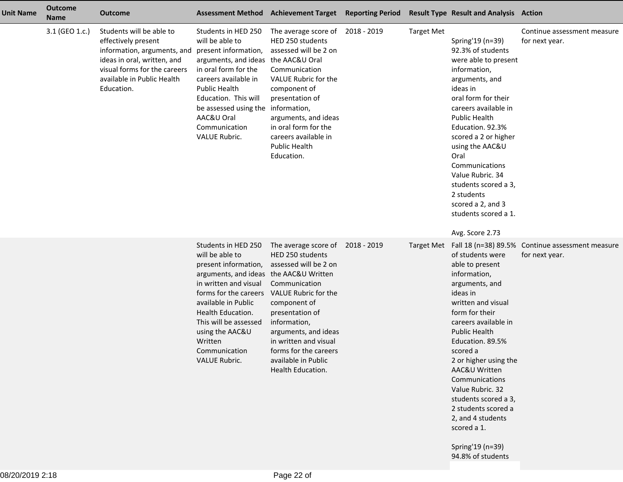| <b>Unit Name</b> | <b>Outcome</b><br><b>Name</b> | <b>Outcome</b>                                                                                                                                                                            |                                                                                                                                                                                                                                                                                                 | Assessment Method Achievement Target Reporting Period                                                                                                                                                                                                                                              |                   | <b>Result Type Result and Analysis Action</b>                                                                                                                                                                                                                                                                                                                                                                         |                                                                    |
|------------------|-------------------------------|-------------------------------------------------------------------------------------------------------------------------------------------------------------------------------------------|-------------------------------------------------------------------------------------------------------------------------------------------------------------------------------------------------------------------------------------------------------------------------------------------------|----------------------------------------------------------------------------------------------------------------------------------------------------------------------------------------------------------------------------------------------------------------------------------------------------|-------------------|-----------------------------------------------------------------------------------------------------------------------------------------------------------------------------------------------------------------------------------------------------------------------------------------------------------------------------------------------------------------------------------------------------------------------|--------------------------------------------------------------------|
|                  | 3.1 (GEO 1.c.)                | Students will be able to<br>effectively present<br>information, arguments, and<br>ideas in oral, written, and<br>visual forms for the careers<br>available in Public Health<br>Education. | Students in HED 250<br>will be able to<br>present information,<br>arguments, and ideas<br>in oral form for the<br>careers available in<br><b>Public Health</b><br>Education. This will<br>be assessed using the<br>AAC&U Oral<br>Communication<br>VALUE Rubric.                                 | The average score of 2018 - 2019<br>HED 250 students<br>assessed will be 2 on<br>the AAC&U Oral<br>Communication<br>VALUE Rubric for the<br>component of<br>presentation of<br>information,<br>arguments, and ideas<br>in oral form for the<br>careers available in<br>Public Health<br>Education. | <b>Target Met</b> | Spring'19 (n=39)<br>92.3% of students<br>were able to present<br>information,<br>arguments, and<br>ideas in<br>oral form for their<br>careers available in<br><b>Public Health</b><br>Education. 92.3%<br>scored a 2 or higher<br>using the AAC&U<br>Oral<br>Communications<br>Value Rubric. 34<br>students scored a 3,<br>2 students<br>scored a 2, and 3<br>students scored a 1.<br>Avg. Score 2.73                 | Continue assessment measure<br>for next year.                      |
|                  |                               |                                                                                                                                                                                           | Students in HED 250<br>will be able to<br>present information,<br>arguments, and ideas the AAC&U Written<br>in written and visual<br>forms for the careers<br>available in Public<br>Health Education.<br>This will be assessed<br>using the AAC&U<br>Written<br>Communication<br>VALUE Rubric. | The average score of 2018 - 2019<br>HED 250 students<br>assessed will be 2 on<br>Communication<br>VALUE Rubric for the<br>component of<br>presentation of<br>information,<br>arguments, and ideas<br>in written and visual<br>forms for the careers<br>available in Public<br>Health Education.    | Target Met        | of students were<br>able to present<br>information,<br>arguments, and<br>ideas in<br>written and visual<br>form for their<br>careers available in<br><b>Public Health</b><br>Education. 89.5%<br>scored a<br>2 or higher using the<br>AAC&U Written<br>Communications<br>Value Rubric. 32<br>students scored a 3,<br>2 students scored a<br>2, and 4 students<br>scored a 1.<br>Spring'19 (n=39)<br>94.8% of students | Fall 18 (n=38) 89.5% Continue assessment measure<br>for next year. |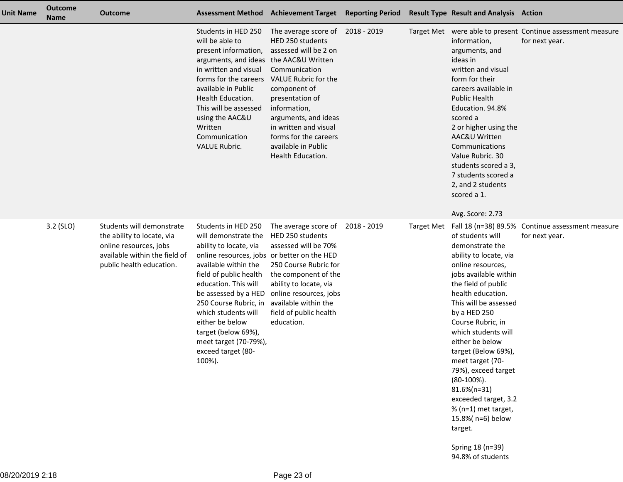| <b>Unit Name</b> | <b>Outcome</b><br><b>Name</b> | <b>Outcome</b>                                                                                                                                 |                                                                                                                                                                                                                                                                                                                                                                           | Assessment Method Achievement Target Reporting Period                                                                                                                                                                                                                                           |  | <b>Result Type Result and Analysis Action</b>                                                                                                                                                                                                                                                                                                                                                                                                                                                 |                                                                               |
|------------------|-------------------------------|------------------------------------------------------------------------------------------------------------------------------------------------|---------------------------------------------------------------------------------------------------------------------------------------------------------------------------------------------------------------------------------------------------------------------------------------------------------------------------------------------------------------------------|-------------------------------------------------------------------------------------------------------------------------------------------------------------------------------------------------------------------------------------------------------------------------------------------------|--|-----------------------------------------------------------------------------------------------------------------------------------------------------------------------------------------------------------------------------------------------------------------------------------------------------------------------------------------------------------------------------------------------------------------------------------------------------------------------------------------------|-------------------------------------------------------------------------------|
|                  |                               |                                                                                                                                                | Students in HED 250<br>will be able to<br>present information,<br>arguments, and ideas the AAC&U Written<br>in written and visual<br>forms for the careers<br>available in Public<br>Health Education.<br>This will be assessed<br>using the AAC&U<br>Written<br>Communication<br><b>VALUE Rubric.</b>                                                                    | The average score of 2018 - 2019<br>HED 250 students<br>assessed will be 2 on<br>Communication<br>VALUE Rubric for the<br>component of<br>presentation of<br>information,<br>arguments, and ideas<br>in written and visual<br>forms for the careers<br>available in Public<br>Health Education. |  | information,<br>arguments, and<br>ideas in<br>written and visual<br>form for their<br>careers available in<br><b>Public Health</b><br>Education. 94.8%<br>scored a<br>2 or higher using the<br>AAC&U Written<br>Communications<br>Value Rubric. 30<br>students scored a 3,<br>7 students scored a<br>2, and 2 students<br>scored a 1.<br>Avg. Score: 2.73                                                                                                                                     | Target Met were able to present Continue assessment measure<br>for next year. |
|                  | 3.2 (SLO)                     | Students will demonstrate<br>the ability to locate, via<br>online resources, jobs<br>available within the field of<br>public health education. | Students in HED 250<br>will demonstrate the<br>ability to locate, via<br>online resources, jobs or better on the HED<br>available within the<br>field of public health<br>education. This will<br>be assessed by a HED<br>250 Course Rubric, in<br>which students will<br>either be below<br>target (below 69%),<br>meet target (70-79%),<br>exceed target (80-<br>100%). | The average score of 2018 - 2019<br>HED 250 students<br>assessed will be 70%<br>250 Course Rubric for<br>the component of the<br>ability to locate, via<br>online resources, jobs<br>available within the<br>field of public health<br>education.                                               |  | of students will<br>demonstrate the<br>ability to locate, via<br>online resources,<br>jobs available within<br>the field of public<br>health education.<br>This will be assessed<br>by a HED 250<br>Course Rubric, in<br>which students will<br>either be below<br>target (Below 69%),<br>meet target (70-<br>79%), exceed target<br>$(80-100\%)$ .<br>$81.6\%$ (n=31)<br>exceeded target, 3.2<br>% (n=1) met target,<br>15.8%(n=6) below<br>target.<br>Spring 18 (n=39)<br>94.8% of students | Target Met Fall 18 (n=38) 89.5% Continue assessment measure<br>for next year. |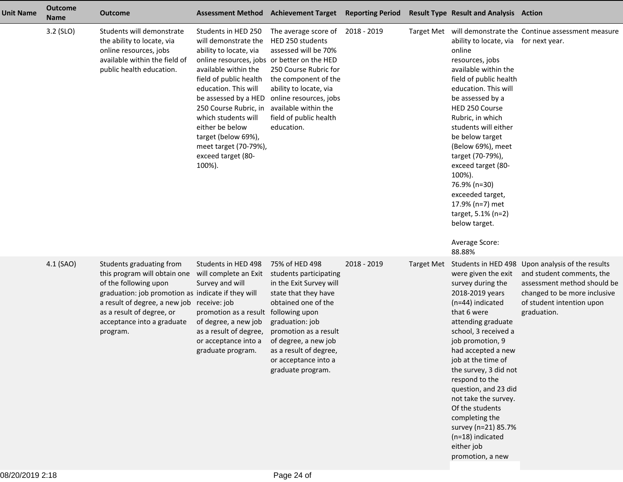| <b>Unit Name</b> | <b>Outcome</b><br><b>Name</b> | <b>Outcome</b>                                                                                                                                                                                                                                               | <b>Assessment Method</b>                                                                                                                                                                                                                                                                                                                                                  | <b>Achievement Target Reporting Period</b>                                                                                                                                                                                                                                      |             |            | <b>Result Type Result and Analysis Action</b>                                                                                                                                                                                                                                                                                                                                                                                                        |                                                                                                                                                                                          |
|------------------|-------------------------------|--------------------------------------------------------------------------------------------------------------------------------------------------------------------------------------------------------------------------------------------------------------|---------------------------------------------------------------------------------------------------------------------------------------------------------------------------------------------------------------------------------------------------------------------------------------------------------------------------------------------------------------------------|---------------------------------------------------------------------------------------------------------------------------------------------------------------------------------------------------------------------------------------------------------------------------------|-------------|------------|------------------------------------------------------------------------------------------------------------------------------------------------------------------------------------------------------------------------------------------------------------------------------------------------------------------------------------------------------------------------------------------------------------------------------------------------------|------------------------------------------------------------------------------------------------------------------------------------------------------------------------------------------|
|                  | 3.2 (SLO)                     | Students will demonstrate<br>the ability to locate, via<br>online resources, jobs<br>available within the field of<br>public health education.                                                                                                               | Students in HED 250<br>will demonstrate the<br>ability to locate, via<br>online resources, jobs or better on the HED<br>available within the<br>field of public health<br>education. This will<br>be assessed by a HED<br>250 Course Rubric, in<br>which students will<br>either be below<br>target (below 69%),<br>meet target (70-79%),<br>exceed target (80-<br>100%). | The average score of 2018 - 2019<br>HED 250 students<br>assessed will be 70%<br>250 Course Rubric for<br>the component of the<br>ability to locate, via<br>online resources, jobs<br>available within the<br>field of public health<br>education.                               |             |            | ability to locate, via for next year.<br>online<br>resources, jobs<br>available within the<br>field of public health<br>education. This will<br>be assessed by a<br>HED 250 Course<br>Rubric, in which<br>students will either<br>be below target<br>(Below 69%), meet<br>target (70-79%),<br>exceed target (80-<br>100%).<br>76.9% (n=30)<br>exceeded target,<br>17.9% (n=7) met<br>target, 5.1% (n=2)<br>below target.<br>Average Score:<br>88.88% | Target Met will demonstrate the Continue assessment measure                                                                                                                              |
|                  | 4.1 (SAO)                     | Students graduating from<br>this program will obtain one<br>of the following upon<br>graduation: job promotion as indicate if they will<br>a result of degree, a new job receive: job<br>as a result of degree, or<br>acceptance into a graduate<br>program. | Students in HED 498<br>will complete an Exit<br>Survey and will<br>promotion as a result<br>of degree, a new job<br>as a result of degree,<br>or acceptance into a<br>graduate program.                                                                                                                                                                                   | 75% of HED 498<br>students participating<br>in the Exit Survey will<br>state that they have<br>obtained one of the<br>following upon<br>graduation: job<br>promotion as a result<br>of degree, a new job<br>as a result of degree,<br>or acceptance into a<br>graduate program. | 2018 - 2019 | Target Met | were given the exit<br>survey during the<br>2018-2019 years<br>(n=44) indicated<br>that 6 were<br>attending graduate<br>school, 3 received a<br>job promotion, 9<br>had accepted a new<br>job at the time of<br>the survey, 3 did not<br>respond to the<br>question, and 23 did<br>not take the survey.<br>Of the students<br>completing the<br>survey (n=21) 85.7%<br>$(n=18)$ indicated<br>either job<br>promotion, a new                          | Students in HED 498 Upon analysis of the results<br>and student comments, the<br>assessment method should be<br>changed to be more inclusive<br>of student intention upon<br>graduation. |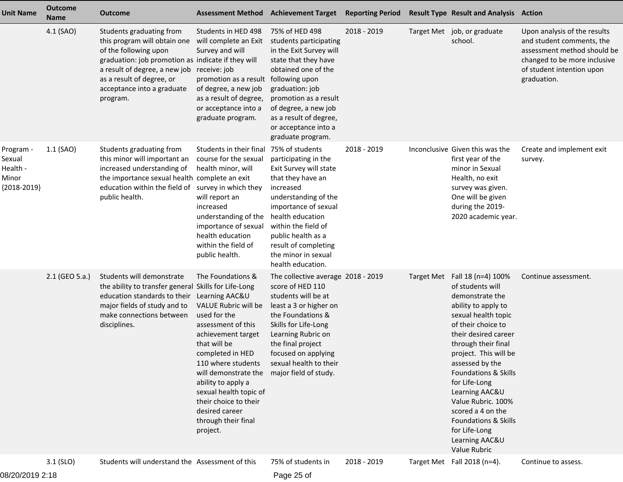| <b>Unit Name</b>                                          | <b>Outcome</b><br>Name | <b>Outcome</b>                                                                                                                                                                                                                                               | <b>Assessment Method</b>                                                                                                                                                                                                                                                                                                                                      | <b>Achievement Target</b>                                                                                                                                                                                                                                                                | <b>Reporting Period</b> | <b>Result Type Result and Analysis Action</b>                                                                                                                                                                                                                                                                                                                                                                        |                                                                                                                                                                      |
|-----------------------------------------------------------|------------------------|--------------------------------------------------------------------------------------------------------------------------------------------------------------------------------------------------------------------------------------------------------------|---------------------------------------------------------------------------------------------------------------------------------------------------------------------------------------------------------------------------------------------------------------------------------------------------------------------------------------------------------------|------------------------------------------------------------------------------------------------------------------------------------------------------------------------------------------------------------------------------------------------------------------------------------------|-------------------------|----------------------------------------------------------------------------------------------------------------------------------------------------------------------------------------------------------------------------------------------------------------------------------------------------------------------------------------------------------------------------------------------------------------------|----------------------------------------------------------------------------------------------------------------------------------------------------------------------|
|                                                           | 4.1 (SAO)              | Students graduating from<br>this program will obtain one<br>of the following upon<br>graduation: job promotion as indicate if they will<br>a result of degree, a new job receive: job<br>as a result of degree, or<br>acceptance into a graduate<br>program. | Students in HED 498<br>will complete an Exit<br>Survey and will<br>promotion as a result<br>of degree, a new job<br>as a result of degree,<br>or acceptance into a<br>graduate program.                                                                                                                                                                       | 75% of HED 498<br>students participating<br>in the Exit Survey will<br>state that they have<br>obtained one of the<br>following upon<br>graduation: job<br>promotion as a result<br>of degree, a new job<br>as a result of degree,<br>or acceptance into a<br>graduate program.          | 2018 - 2019             | Target Met job, or graduate<br>school.                                                                                                                                                                                                                                                                                                                                                                               | Upon analysis of the results<br>and student comments, the<br>assessment method should be<br>changed to be more inclusive<br>of student intention upon<br>graduation. |
| Program -<br>Sexual<br>Health -<br>Minor<br>${2018-2019}$ | 1.1 (SAO)              | Students graduating from<br>this minor will important an<br>increased understanding of<br>the importance sexual health complete an exit<br>education within the field of survey in which they<br>public health.                                              | Students in their final<br>course for the sexual<br>health minor, will<br>will report an<br>increased<br>understanding of the<br>importance of sexual<br>health education<br>within the field of<br>public health.                                                                                                                                            | 75% of students<br>participating in the<br>Exit Survey will state<br>that they have an<br>increased<br>understanding of the<br>importance of sexual<br>health education<br>within the field of<br>public health as a<br>result of completing<br>the minor in sexual<br>health education. | 2018 - 2019             | Inconclusive Given this was the<br>first year of the<br>minor in Sexual<br>Health, no exit<br>survey was given.<br>One will be given<br>during the 2019-<br>2020 academic year.                                                                                                                                                                                                                                      | Create and implement exit<br>survey.                                                                                                                                 |
|                                                           | 2.1 (GEO 5.a.)         | Students will demonstrate<br>the ability to transfer general Skills for Life-Long<br>education standards to their<br>major fields of study and to<br>make connections between<br>disciplines.                                                                | The Foundations &<br>Learning AAC&U<br>VALUE Rubric will be<br>used for the<br>assessment of this<br>achievement target<br>that will be<br>completed in HED<br>110 where students<br>will demonstrate the major field of study.<br>ability to apply a<br>sexual health topic of<br>their choice to their<br>desired career<br>through their final<br>project. | The collective average 2018 - 2019<br>score of HED 110<br>students will be at<br>least a 3 or higher on<br>the Foundations &<br>Skills for Life-Long<br>Learning Rubric on<br>the final project<br>focused on applying<br>sexual health to their                                         |                         | Target Met Fall 18 (n=4) 100%<br>of students will<br>demonstrate the<br>ability to apply to<br>sexual health topic<br>of their choice to<br>their desired career<br>through their final<br>project. This will be<br>assessed by the<br>Foundations & Skills<br>for Life-Long<br>Learning AAC&U<br>Value Rubric. 100%<br>scored a 4 on the<br>Foundations & Skills<br>for Life-Long<br>Learning AAC&U<br>Value Rubric | Continue assessment.                                                                                                                                                 |
|                                                           | $3.1$ (SLO)            | Students will understand the Assessment of this                                                                                                                                                                                                              |                                                                                                                                                                                                                                                                                                                                                               | 75% of students in                                                                                                                                                                                                                                                                       | 2018 - 2019             | Target Met Fall 2018 (n=4).                                                                                                                                                                                                                                                                                                                                                                                          | Continue to assess.                                                                                                                                                  |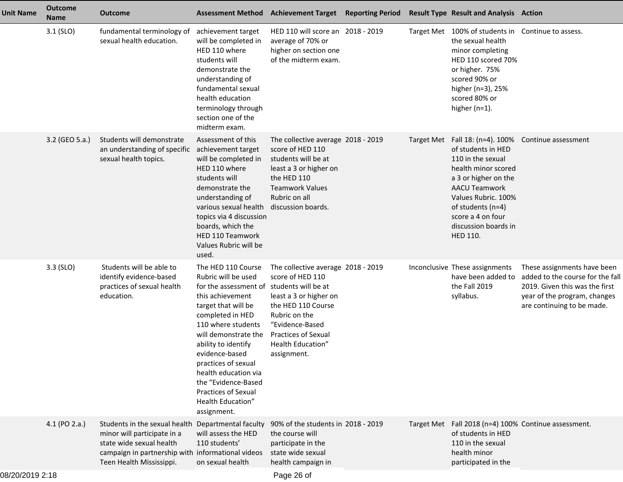| <b>Unit Name</b> | <b>Outcome</b><br><b>Name</b> | <b>Outcome</b>                                                                                                                                                            | <b>Assessment Method</b>                                                                                                                                                                                                                                                                                                                                         | Achievement Target Reporting Period Result Type Result and Analysis Action                                                                                                                                                          |                   |                                                                                                                                                                                                                                                    |                                                                                                                                                                 |
|------------------|-------------------------------|---------------------------------------------------------------------------------------------------------------------------------------------------------------------------|------------------------------------------------------------------------------------------------------------------------------------------------------------------------------------------------------------------------------------------------------------------------------------------------------------------------------------------------------------------|-------------------------------------------------------------------------------------------------------------------------------------------------------------------------------------------------------------------------------------|-------------------|----------------------------------------------------------------------------------------------------------------------------------------------------------------------------------------------------------------------------------------------------|-----------------------------------------------------------------------------------------------------------------------------------------------------------------|
|                  | $3.1$ (SLO)                   | fundamental terminology of<br>sexual health education.                                                                                                                    | achievement target<br>will be completed in<br>HED 110 where<br>students will<br>demonstrate the<br>understanding of<br>fundamental sexual<br>health education<br>terminology through<br>section one of the<br>midterm exam.                                                                                                                                      | HED 110 will score an 2018 - 2019<br>average of 70% or<br>higher on section one<br>of the midterm exam.                                                                                                                             | <b>Target Met</b> | 100% of students in Continue to assess.<br>the sexual health<br>minor completing<br>HED 110 scored 70%<br>or higher. 75%<br>scored 90% or<br>higher (n=3), 25%<br>scored 80% or<br>higher $(n=1)$ .                                                |                                                                                                                                                                 |
|                  | 3.2 (GEO 5.a.)                | Students will demonstrate<br>an understanding of specific<br>sexual health topics.                                                                                        | Assessment of this<br>achievement target<br>will be completed in<br>HED 110 where<br>students will<br>demonstrate the<br>understanding of<br>various sexual health<br>topics via 4 discussion<br>boards, which the<br><b>HED 110 Teamwork</b><br>Values Rubric will be<br>used.                                                                                  | The collective average 2018 - 2019<br>score of HED 110<br>students will be at<br>least a 3 or higher on<br>the HED 110<br><b>Teamwork Values</b><br>Rubric on all<br>discussion boards.                                             | Target Met        | Fall 18: (n=4). 100%<br>of students in HED<br>110 in the sexual<br>health minor scored<br>a 3 or higher on the<br><b>AACU Teamwork</b><br>Values Rubric. 100%<br>of students (n=4)<br>score a 4 on four<br>discussion boards in<br><b>HED 110.</b> | Continue assessment                                                                                                                                             |
|                  | $3.3$ (SLO)                   | Students will be able to<br>identify evidence-based<br>practices of sexual health<br>education.                                                                           | The HED 110 Course<br>Rubric will be used<br>for the assessment of<br>this achievement<br>target that will be<br>completed in HED<br>110 where students<br>will demonstrate the<br>ability to identify<br>evidence-based<br>practices of sexual<br>health education via<br>the "Evidence-Based<br><b>Practices of Sexual</b><br>Health Education"<br>assignment. | The collective average 2018 - 2019<br>score of HED 110<br>students will be at<br>least a 3 or higher on<br>the HED 110 Course<br>Rubric on the<br>"Evidence-Based<br><b>Practices of Sexual</b><br>Health Education"<br>assignment. |                   | Inconclusive These assignments<br>have been added to<br>the Fall 2019<br>syllabus.                                                                                                                                                                 | These assignments have been<br>added to the course for the fall<br>2019. Given this was the first<br>year of the program, changes<br>are continuing to be made. |
|                  | 4.1 (PO 2.a.)                 | Students in the sexual health<br>minor will participate in a<br>state wide sexual health<br>campaign in partnership with informational videos<br>Teen Health Mississippi. | Departmental faculty<br>will assess the HED<br>110 students'<br>on sexual health                                                                                                                                                                                                                                                                                 | 90% of the students in 2018 - 2019<br>the course will<br>participate in the<br>state wide sexual<br>health campaign in                                                                                                              |                   | of students in HED<br>110 in the sexual<br>health minor<br>participated in the                                                                                                                                                                     | Target Met Fall 2018 (n=4) 100% Continue assessment.                                                                                                            |
|                  |                               |                                                                                                                                                                           |                                                                                                                                                                                                                                                                                                                                                                  |                                                                                                                                                                                                                                     |                   |                                                                                                                                                                                                                                                    |                                                                                                                                                                 |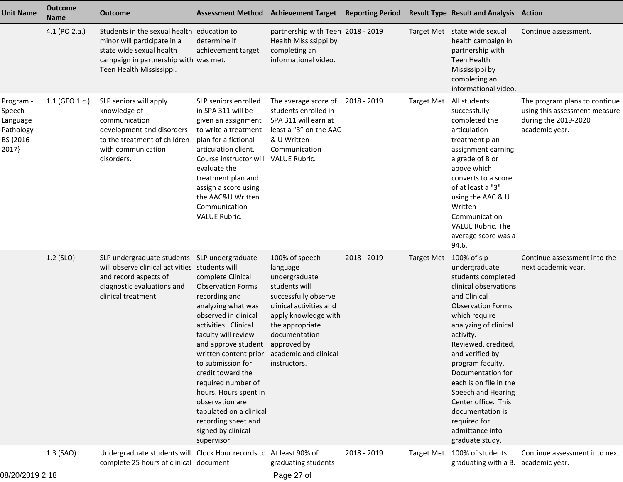| <b>Unit Name</b>                                                     | <b>Outcome</b><br><b>Name</b> | <b>Outcome</b>                                                                                                                                                               |                                                                                                                                                                                                                                                                                                                                                                                                                                      | Assessment Method Achievement Target Reporting Period                                                                                                                                                       |             |                        | <b>Result Type Result and Analysis Action</b>                                                                                                                                                                                                                                                                                                                                                       |                                                                                                          |
|----------------------------------------------------------------------|-------------------------------|------------------------------------------------------------------------------------------------------------------------------------------------------------------------------|--------------------------------------------------------------------------------------------------------------------------------------------------------------------------------------------------------------------------------------------------------------------------------------------------------------------------------------------------------------------------------------------------------------------------------------|-------------------------------------------------------------------------------------------------------------------------------------------------------------------------------------------------------------|-------------|------------------------|-----------------------------------------------------------------------------------------------------------------------------------------------------------------------------------------------------------------------------------------------------------------------------------------------------------------------------------------------------------------------------------------------------|----------------------------------------------------------------------------------------------------------|
|                                                                      | 4.1 (PO 2.a.)                 | Students in the sexual health education to<br>minor will participate in a<br>state wide sexual health<br>campaign in partnership with was met.<br>Teen Health Mississippi.   | determine if<br>achievement target                                                                                                                                                                                                                                                                                                                                                                                                   | partnership with Teen 2018 - 2019<br>Health Mississippi by<br>completing an<br>informational video.                                                                                                         |             |                        | Target Met state wide sexual<br>health campaign in<br>partnership with<br><b>Teen Health</b><br>Mississippi by<br>completing an<br>informational video.                                                                                                                                                                                                                                             | Continue assessment.                                                                                     |
| Program -<br>Speech<br>Language<br>Pathology -<br>BS {2016-<br>2017} | 1.1 (GEO 1.c.)                | SLP seniors will apply<br>knowledge of<br>communication<br>development and disorders<br>to the treatment of children<br>with communication<br>disorders.                     | SLP seniors enrolled<br>in SPA 311 will be<br>given an assignment<br>to write a treatment<br>plan for a fictional<br>articulation client.<br>Course instructor will<br>evaluate the<br>treatment plan and<br>assign a score using<br>the AAC&U Written<br>Communication<br><b>VALUE Rubric.</b>                                                                                                                                      | The average score of<br>students enrolled in<br>SPA 311 will earn at<br>least a "3" on the AAC<br>& U Written<br>Communication<br>VALUE Rubric.                                                             | 2018 - 2019 |                        | Target Met All students<br>successfully<br>completed the<br>articulation<br>treatment plan<br>assignment earning<br>a grade of B or<br>above which<br>converts to a score<br>of at least a "3"<br>using the AAC & U<br>Written<br>Communication<br>VALUE Rubric. The<br>average score was a<br>94.6.                                                                                                | The program plans to continue<br>using this assessment measure<br>during the 2019-2020<br>academic year. |
|                                                                      | 1.2 (SLO)                     | SLP undergraduate students SLP undergraduate<br>will observe clinical activities students will<br>and record aspects of<br>diagnostic evaluations and<br>clinical treatment. | complete Clinical<br><b>Observation Forms</b><br>recording and<br>analyzing what was<br>observed in clinical<br>activities. Clinical<br>faculty will review<br>and approve student<br>written content prior academic and clinical<br>to submission for<br>credit toward the<br>required number of<br>hours. Hours spent in<br>observation are<br>tabulated on a clinical<br>recording sheet and<br>signed by clinical<br>supervisor. | 100% of speech-<br>language<br>undergraduate<br>students will<br>successfully observe<br>clinical activities and<br>apply knowledge with<br>the appropriate<br>documentation<br>approved by<br>instructors. | 2018 - 2019 | Target Met 100% of slp | undergraduate<br>students completed<br>clinical observations<br>and Clinical<br><b>Observation Forms</b><br>which require<br>analyzing of clinical<br>activity.<br>Reviewed, credited,<br>and verified by<br>program faculty.<br>Documentation for<br>each is on file in the<br>Speech and Hearing<br>Center office. This<br>documentation is<br>required for<br>admittance into<br>graduate study. | Continue assessment into the<br>next academic year.                                                      |
| ש <i>ו-ר המחרו</i> מ <i>רו</i>                                       | 1.3 (SAO)                     | Undergraduate students will Clock Hour records to At least 90% of<br>complete 25 hours of clinical document                                                                  |                                                                                                                                                                                                                                                                                                                                                                                                                                      | graduating students<br>Dao 27 of                                                                                                                                                                            | 2018 - 2019 |                        | Target Met 100% of students<br>graduating with a B.                                                                                                                                                                                                                                                                                                                                                 | Continue assessment into next<br>academic year.                                                          |
|                                                                      |                               |                                                                                                                                                                              |                                                                                                                                                                                                                                                                                                                                                                                                                                      |                                                                                                                                                                                                             |             |                        |                                                                                                                                                                                                                                                                                                                                                                                                     |                                                                                                          |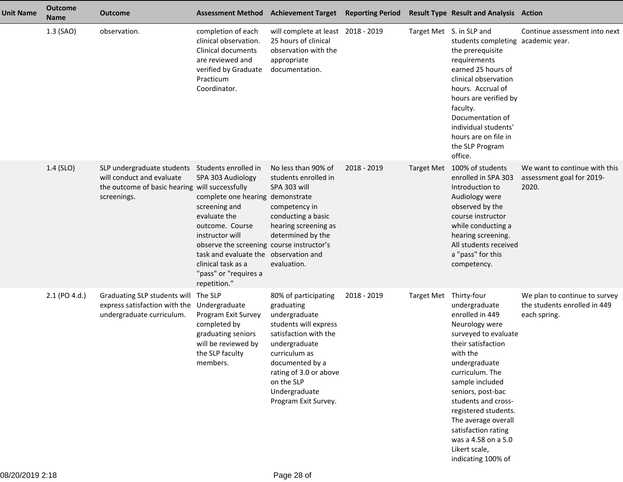| <b>Unit Name</b> | <b>Outcome</b><br><b>Name</b> | <b>Outcome</b>                                                                                                           |                                                                                                                                                                                                                                                                                                           | <b>Assessment Method Achievement Target</b>                                                                                                                                                                                                 | <b>Reporting Period</b> |                        | <b>Result Type Result and Analysis Action</b>                                                                                                                                                                                                                                                                                                       |                                                                               |
|------------------|-------------------------------|--------------------------------------------------------------------------------------------------------------------------|-----------------------------------------------------------------------------------------------------------------------------------------------------------------------------------------------------------------------------------------------------------------------------------------------------------|---------------------------------------------------------------------------------------------------------------------------------------------------------------------------------------------------------------------------------------------|-------------------------|------------------------|-----------------------------------------------------------------------------------------------------------------------------------------------------------------------------------------------------------------------------------------------------------------------------------------------------------------------------------------------------|-------------------------------------------------------------------------------|
|                  | 1.3 (SAO)                     | observation.                                                                                                             | completion of each<br>clinical observation.<br>Clinical documents<br>are reviewed and<br>verified by Graduate<br>Practicum<br>Coordinator.                                                                                                                                                                | will complete at least 2018 - 2019<br>25 hours of clinical<br>observation with the<br>appropriate<br>documentation.                                                                                                                         |                         |                        | Target Met S. in SLP and<br>students completing academic year.<br>the prerequisite<br>requirements<br>earned 25 hours of<br>clinical observation<br>hours. Accrual of<br>hours are verified by<br>faculty.<br>Documentation of<br>individual students'<br>hours are on file in<br>the SLP Program<br>office.                                        | Continue assessment into next                                                 |
|                  | 1.4 (SLO)                     | SLP undergraduate students<br>will conduct and evaluate<br>the outcome of basic hearing will successfully<br>screenings. | Students enrolled in<br>SPA 303 Audiology<br>complete one hearing demonstrate<br>screening and<br>evaluate the<br>outcome. Course<br>instructor will<br>observe the screening course instructor's<br>task and evaluate the observation and<br>clinical task as a<br>"pass" or "requires a<br>repetition." | No less than 90% of<br>students enrolled in<br>SPA 303 will<br>competency in<br>conducting a basic<br>hearing screening as<br>determined by the<br>evaluation.                                                                              | 2018 - 2019             | <b>Target Met</b>      | 100% of students<br>enrolled in SPA 303<br>Introduction to<br>Audiology were<br>observed by the<br>course instructor<br>while conducting a<br>hearing screening.<br>All students received<br>a "pass" for this<br>competency.                                                                                                                       | We want to continue with this<br>assessment goal for 2019-<br>2020.           |
|                  | 2.1 (PO 4.d.)                 | Graduating SLP students will<br>express satisfaction with the<br>undergraduate curriculum.                               | The SLP<br>Undergraduate<br>Program Exit Survey<br>completed by<br>graduating seniors<br>will be reviewed by<br>the SLP faculty<br>members.                                                                                                                                                               | 80% of participating<br>graduating<br>undergraduate<br>students will express<br>satisfaction with the<br>undergraduate<br>curriculum as<br>documented by a<br>rating of 3.0 or above<br>on the SLP<br>Undergraduate<br>Program Exit Survey. | 2018 - 2019             | Target Met Thirty-four | undergraduate<br>enrolled in 449<br>Neurology were<br>surveyed to evaluate<br>their satisfaction<br>with the<br>undergraduate<br>curriculum. The<br>sample included<br>seniors, post-bac<br>students and cross-<br>registered students.<br>The average overall<br>satisfaction rating<br>was a 4.58 on a 5.0<br>Likert scale,<br>indicating 100% of | We plan to continue to survey<br>the students enrolled in 449<br>each spring. |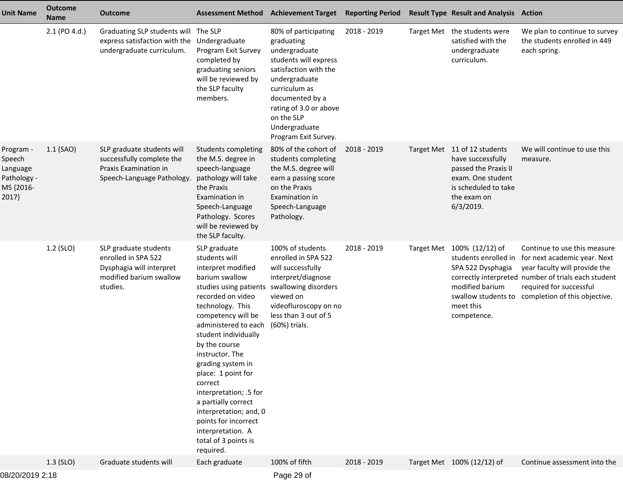| <b>Unit Name</b>                                                     | <b>Outcome</b><br><b>Name</b> | <b>Outcome</b>                                                                                                  |                                                                                                                                                                                                                                                                                                                                                                                                                                                                       | <b>Assessment Method Achievement Target</b>                                                                                                                                                                                                 | <b>Reporting Period</b> |                   | <b>Result Type Result and Analysis Action</b>                                                                                                         |                                                                                                                                                                                                                                                           |
|----------------------------------------------------------------------|-------------------------------|-----------------------------------------------------------------------------------------------------------------|-----------------------------------------------------------------------------------------------------------------------------------------------------------------------------------------------------------------------------------------------------------------------------------------------------------------------------------------------------------------------------------------------------------------------------------------------------------------------|---------------------------------------------------------------------------------------------------------------------------------------------------------------------------------------------------------------------------------------------|-------------------------|-------------------|-------------------------------------------------------------------------------------------------------------------------------------------------------|-----------------------------------------------------------------------------------------------------------------------------------------------------------------------------------------------------------------------------------------------------------|
|                                                                      | 2.1 (PO 4.d.)                 | Graduating SLP students will The SLP<br>express satisfaction with the<br>undergraduate curriculum.              | Undergraduate<br>Program Exit Survey<br>completed by<br>graduating seniors<br>will be reviewed by<br>the SLP faculty<br>members.                                                                                                                                                                                                                                                                                                                                      | 80% of participating<br>graduating<br>undergraduate<br>students will express<br>satisfaction with the<br>undergraduate<br>curriculum as<br>documented by a<br>rating of 3.0 or above<br>on the SLP<br>Undergraduate<br>Program Exit Survey. | 2018 - 2019             |                   | Target Met the students were<br>satisfied with the<br>undergraduate<br>curriculum.                                                                    | We plan to continue to survey<br>the students enrolled in 449<br>each spring.                                                                                                                                                                             |
| Program -<br>Speech<br>Language<br>Pathology -<br>MS {2016-<br>2017} | $1.1$ (SAO)                   | SLP graduate students will<br>successfully complete the<br>Praxis Examination in<br>Speech-Language Pathology.  | Students completing<br>the M.S. degree in<br>speech-language<br>pathology will take<br>the Praxis<br>Examination in<br>Speech-Language<br>Pathology. Scores<br>will be reviewed by<br>the SLP faculty.                                                                                                                                                                                                                                                                | 80% of the cohort of<br>students completing<br>the M.S. degree will<br>earn a passing score<br>on the Praxis<br>Examination in<br>Speech-Language<br>Pathology.                                                                             | 2018 - 2019             |                   | Target Met 11 of 12 students<br>have successfully<br>passed the Praxis II<br>exam. One student<br>is scheduled to take<br>the exam on<br>$6/3/2019$ . | We will continue to use this<br>measure.                                                                                                                                                                                                                  |
|                                                                      | 1.2 (SLO)                     | SLP graduate students<br>enrolled in SPA 522<br>Dysphagia will interpret<br>modified barium swallow<br>studies. | SLP graduate<br>students will<br>interpret modified<br>barium swallow<br>studies using patients<br>recorded on video<br>technology. This<br>competency will be<br>administered to each<br>student individually<br>by the course<br>instructor. The<br>grading system in<br>place: 1 point for<br>correct<br>interpretation; .5 for<br>a partially correct<br>interpretation; and, 0<br>points for incorrect<br>interpretation. A<br>total of 3 points is<br>required. | 100% of students<br>enrolled in SPA 522<br>will successfully<br>interpret/diagnose<br>swallowing disorders<br>viewed on<br>videofluroscopy on no<br>less than 3 out of 5<br>(60%) trials.                                                   | 2018 - 2019             | <b>Target Met</b> | 100% (12/12) of<br>SPA 522 Dysphagia<br>modified barium<br>meet this<br>competence.                                                                   | Continue to use this measure<br>students enrolled in for next academic year. Next<br>year faculty will provide the<br>correctly interpreted number of trials each student<br>required for successful<br>swallow students to completion of this objective. |
|                                                                      | $1.3$ (SLO)                   | Graduate students will                                                                                          | Each graduate                                                                                                                                                                                                                                                                                                                                                                                                                                                         | 100% of fifth                                                                                                                                                                                                                               | 2018 - 2019             |                   | Target Met 100% (12/12) of                                                                                                                            | Continue assessment into the                                                                                                                                                                                                                              |
|                                                                      |                               |                                                                                                                 |                                                                                                                                                                                                                                                                                                                                                                                                                                                                       |                                                                                                                                                                                                                                             |                         |                   |                                                                                                                                                       |                                                                                                                                                                                                                                                           |

08/20/2019 2:18

Page 29 of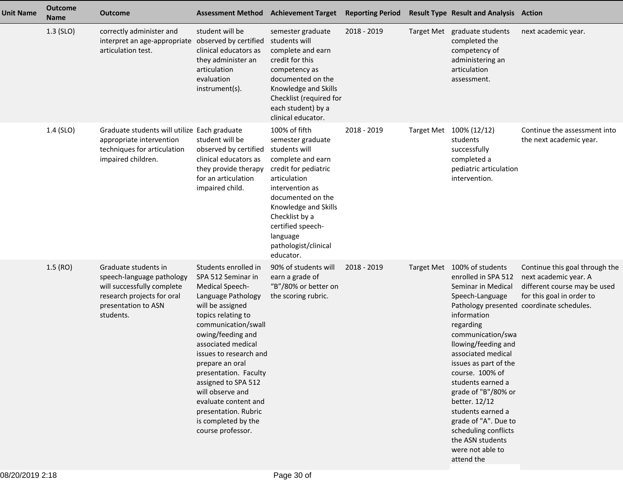| <b>Unit Name</b> | <b>Outcome</b><br><b>Name</b> | <b>Outcome</b>                                                                                                                                    | <b>Assessment Method Achievement Target</b>                                                                                                                                                                                                                                                                                                                                                                         |                                                                                                                                                                                                                                                                          | <b>Reporting Period</b> |                   | <b>Result Type Result and Analysis Action</b>                                                                                                                                                                                                                                                                                                                                                                                 |                                                                                                                                                                   |
|------------------|-------------------------------|---------------------------------------------------------------------------------------------------------------------------------------------------|---------------------------------------------------------------------------------------------------------------------------------------------------------------------------------------------------------------------------------------------------------------------------------------------------------------------------------------------------------------------------------------------------------------------|--------------------------------------------------------------------------------------------------------------------------------------------------------------------------------------------------------------------------------------------------------------------------|-------------------------|-------------------|-------------------------------------------------------------------------------------------------------------------------------------------------------------------------------------------------------------------------------------------------------------------------------------------------------------------------------------------------------------------------------------------------------------------------------|-------------------------------------------------------------------------------------------------------------------------------------------------------------------|
|                  | $1.3$ (SLO)                   | correctly administer and<br>interpret an age-appropriate observed by certified<br>articulation test.                                              | student will be<br>clinical educators as<br>they administer an<br>articulation<br>evaluation<br>instrument(s).                                                                                                                                                                                                                                                                                                      | semester graduate<br>students will<br>complete and earn<br>credit for this<br>competency as<br>documented on the<br>Knowledge and Skills<br>Checklist (required for<br>each student) by a<br>clinical educator.                                                          | 2018 - 2019             |                   | Target Met graduate students<br>completed the<br>competency of<br>administering an<br>articulation<br>assessment.                                                                                                                                                                                                                                                                                                             | next academic year.                                                                                                                                               |
|                  | 1.4 (SLO)                     | Graduate students will utilize Each graduate<br>appropriate intervention<br>techniques for articulation<br>impaired children.                     | student will be<br>observed by certified<br>clinical educators as<br>they provide therapy<br>for an articulation<br>impaired child.                                                                                                                                                                                                                                                                                 | 100% of fifth<br>semester graduate<br>students will<br>complete and earn<br>credit for pediatric<br>articulation<br>intervention as<br>documented on the<br>Knowledge and Skills<br>Checklist by a<br>certified speech-<br>language<br>pathologist/clinical<br>educator. | 2018 - 2019             | <b>Target Met</b> | 100% (12/12)<br>students<br>successfully<br>completed a<br>pediatric articulation<br>intervention.                                                                                                                                                                                                                                                                                                                            | Continue the assessment into<br>the next academic year.                                                                                                           |
|                  | 1.5(RO)                       | Graduate students in<br>speech-language pathology<br>will successfully complete<br>research projects for oral<br>presentation to ASN<br>students. | Students enrolled in<br>SPA 512 Seminar in<br><b>Medical Speech-</b><br>Language Pathology<br>will be assigned<br>topics relating to<br>communication/swall<br>owing/feeding and<br>associated medical<br>issues to research and<br>prepare an oral<br>presentation. Faculty<br>assigned to SPA 512<br>will observe and<br>evaluate content and<br>presentation. Rubric<br>is completed by the<br>course professor. | 90% of students will<br>earn a grade of<br>"B"/80% or better on<br>the scoring rubric.                                                                                                                                                                                   | 2018 - 2019             |                   | Target Met 100% of students<br>enrolled in SPA 512<br>Seminar in Medical<br>Speech-Language<br>information<br>regarding<br>communication/swa<br>llowing/feeding and<br>associated medical<br>issues as part of the<br>course. 100% of<br>students earned a<br>grade of "B"/80% or<br>better. 12/12<br>students earned a<br>grade of "A". Due to<br>scheduling conflicts<br>the ASN students<br>were not able to<br>attend the | Continue this goal through the<br>next academic year. A<br>different course may be used<br>for this goal in order to<br>Pathology presented coordinate schedules. |